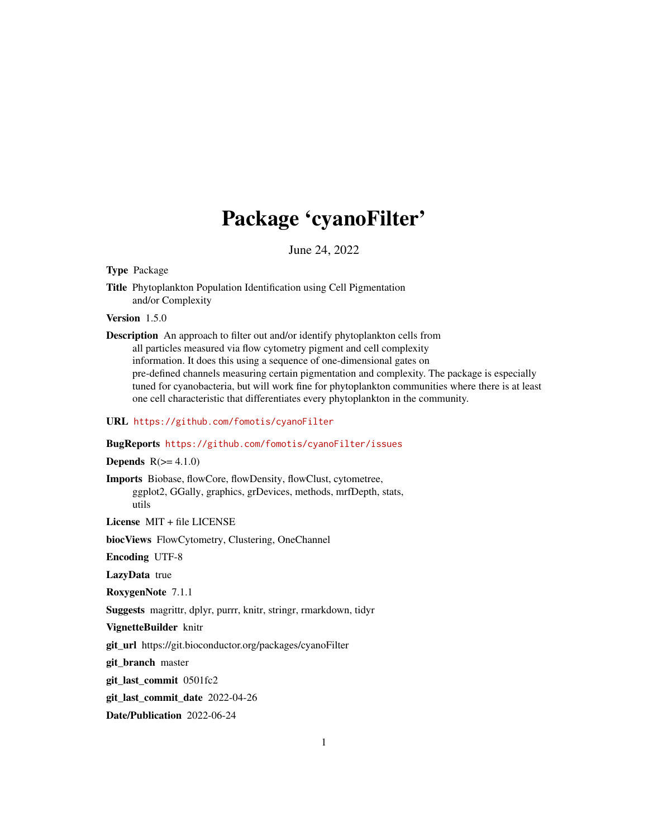# Package 'cyanoFilter'

June 24, 2022

<span id="page-0-0"></span>Type Package

Title Phytoplankton Population Identification using Cell Pigmentation and/or Complexity

Version 1.5.0

Description An approach to filter out and/or identify phytoplankton cells from all particles measured via flow cytometry pigment and cell complexity information. It does this using a sequence of one-dimensional gates on pre-defined channels measuring certain pigmentation and complexity. The package is especially tuned for cyanobacteria, but will work fine for phytoplankton communities where there is at least one cell characteristic that differentiates every phytoplankton in the community.

# URL <https://github.com/fomotis/cyanoFilter>

#### BugReports <https://github.com/fomotis/cyanoFilter/issues>

#### **Depends**  $R(>= 4.1.0)$

Imports Biobase, flowCore, flowDensity, flowClust, cytometree, ggplot2, GGally, graphics, grDevices, methods, mrfDepth, stats, utils

License MIT + file LICENSE

biocViews FlowCytometry, Clustering, OneChannel

Encoding UTF-8

LazyData true

RoxygenNote 7.1.1

Suggests magrittr, dplyr, purrr, knitr, stringr, rmarkdown, tidyr

VignetteBuilder knitr

git\_url https://git.bioconductor.org/packages/cyanoFilter

git\_branch master

git\_last\_commit 0501fc2

git\_last\_commit\_date 2022-04-26

Date/Publication 2022-06-24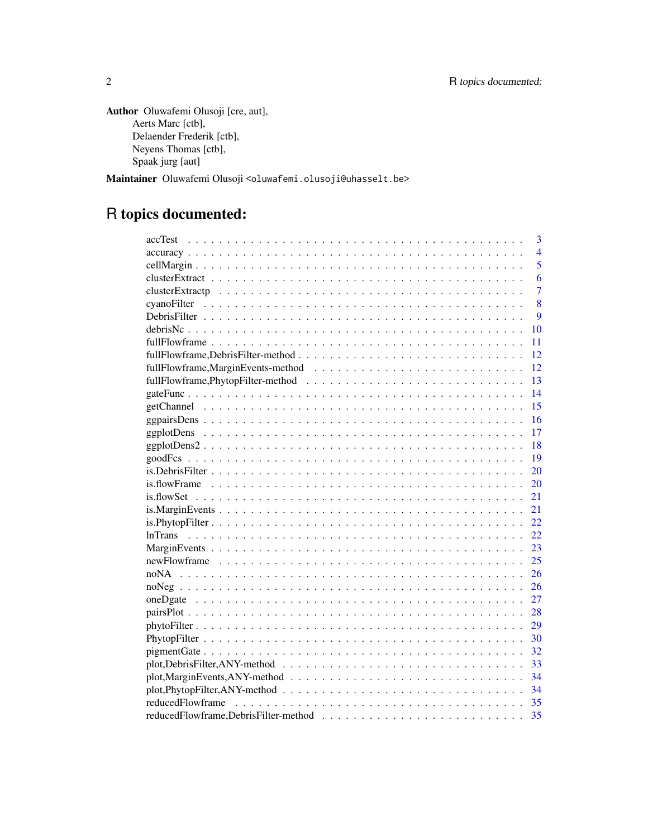```
Author Oluwafemi Olusoji [cre, aut],
     Aerts Marc [ctb],
     Delaender Frederik [ctb],
     Neyens Thomas [ctb],
     Spaak jurg [aut]
```
Maintainer Oluwafemi Olusoji <oluwafemi.olusoji@uhasselt.be>

# R topics documented:

| accTest | 3              |
|---------|----------------|
|         | $\overline{4}$ |
|         | 5              |
|         | 6              |
|         | 7              |
|         | 8              |
|         | 9              |
| 10      |                |
| 11      |                |
| 12      |                |
| 12      |                |
| 13      |                |
| 14      |                |
| 15      |                |
| 16      |                |
| 17      |                |
| 18      |                |
| 19      |                |
| 20      |                |
| 20      |                |
| 21      |                |
| 21      |                |
| 22.     |                |
| 22      |                |
| 23      |                |
| 25      |                |
| 26      |                |
| 26      |                |
| 27      |                |
| 28      |                |
| 29      |                |
| 30      |                |
| 32      |                |
| 33      |                |
| 34      |                |
| 34      |                |
| 35      |                |
| 35      |                |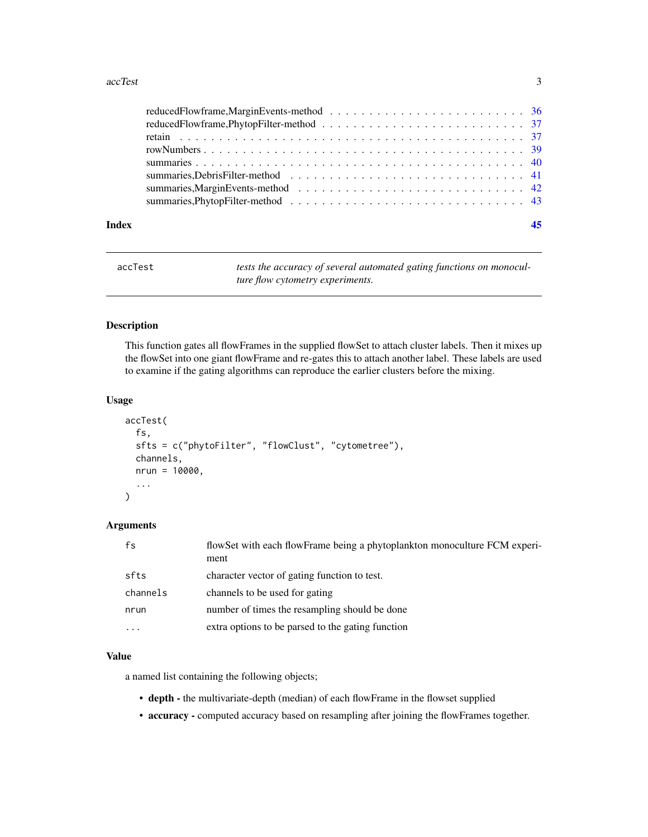#### <span id="page-2-0"></span>accTest 3

| Index | 45 |
|-------|----|
|       |    |
|       |    |
|       |    |
|       |    |
|       |    |
|       |    |
|       |    |
|       |    |

| accTest | tests the accuracy of several automated gating functions on monocul- |
|---------|----------------------------------------------------------------------|
|         | ture flow cytometry experiments.                                     |

# Description

This function gates all flowFrames in the supplied flowSet to attach cluster labels. Then it mixes up the flowSet into one giant flowFrame and re-gates this to attach another label. These labels are used to examine if the gating algorithms can reproduce the earlier clusters before the mixing.

# Usage

```
accTest(
  fs,
  sfts = c("phytoFilter", "flowClust", "cytometree"),
  channels,
 nrun = 10000,
  ...
```
# Arguments

 $\mathcal{E}$ 

| fs       | flowSet with each flowFrame being a phytoplankton monoculture FCM experi-<br>ment |
|----------|-----------------------------------------------------------------------------------|
| sfts     | character vector of gating function to test.                                      |
| channels | channels to be used for gating                                                    |
| nrun     | number of times the resampling should be done                                     |
| .        | extra options to be parsed to the gating function                                 |

# Value

a named list containing the following objects;

- depth the multivariate-depth (median) of each flowFrame in the flowset supplied
- accuracy computed accuracy based on resampling after joining the flowFrames together.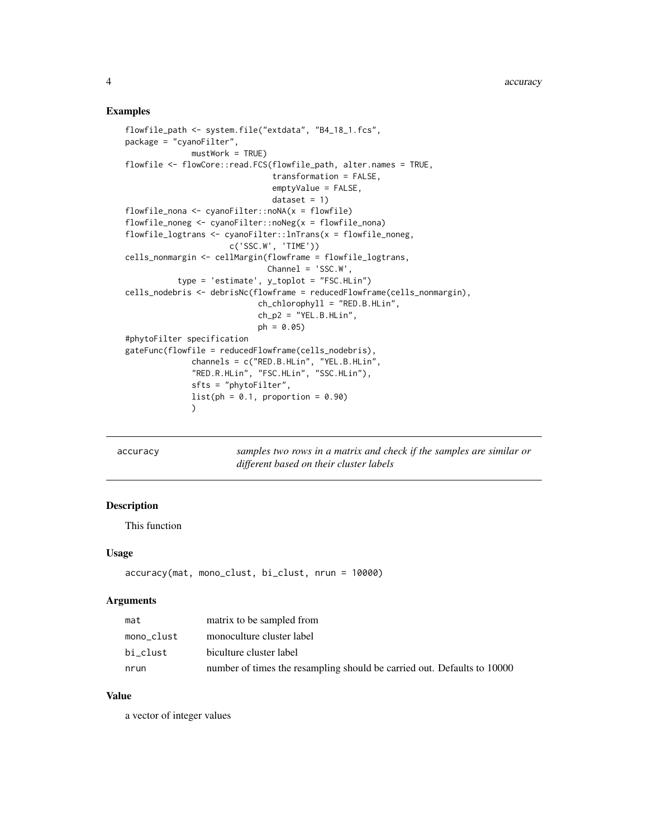#### <span id="page-3-0"></span>Examples

```
flowfile_path <- system.file("extdata", "B4_18_1.fcs",
package = "cyanoFilter",
              mustWork = TRUE)
flowfile <- flowCore::read.FCS(flowfile_path, alter.names = TRUE,
                               transformation = FALSE,
                               emptyValue = FALSE,
                               dataset = 1)flowfile_nona <- cyanoFilter::noNA(x = flowfile)
flowfile\_noneg \leftarrow cyanofilter::noNeg(x = flowfile\_nona)flowfile_logtrans <- cyanoFilter::lnTrans(x = flowfile_noneg,
                      c('SSC.W', 'TIME'))
cells_nonmargin <- cellMargin(flowframe = flowfile_logtrans,
                              Channel = 'SSC.W',
           type = 'estimate', y_toplot = "FSC.HLin")
cells_nodebris <- debrisNc(flowframe = reducedFlowframe(cells_nonmargin),
                            ch_chlorophyll = "RED.B.HLin",
                            ch_p2 = "YEL.B.HLin",ph = 0.05)
#phytoFilter specification
gateFunc(flowfile = reducedFlowframe(cells_nodebris),
              channels = c("RED.B.HLin", "YEL.B.HLin",
              "RED.R.HLin", "FSC.HLin", "SSC.HLin"),
              sfts = "phytoFilter",
              list(ph = 0.1, proportion = 0.90))
```
accuracy *samples two rows in a matrix and check if the samples are similar or different based on their cluster labels*

# Description

This function

#### Usage

```
accuracy(mat, mono_clust, bi_clust, nrun = 10000)
```
#### Arguments

| mat        | matrix to be sampled from                                               |
|------------|-------------------------------------------------------------------------|
| mono clust | monoculture cluster label                                               |
| bi clust   | biculture cluster label                                                 |
| nrun       | number of times the resampling should be carried out. Defaults to 10000 |

#### Value

a vector of integer values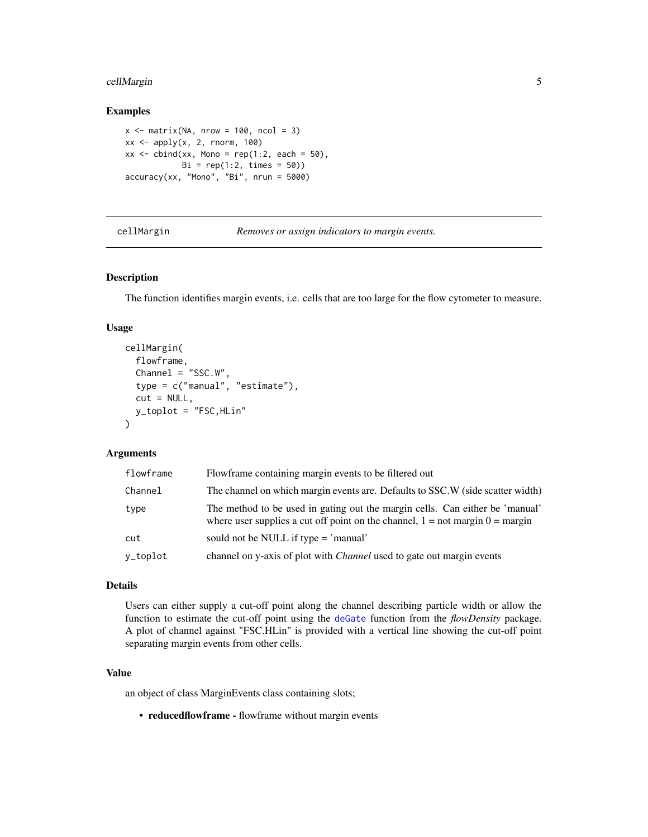# <span id="page-4-0"></span>cellMargin 5

#### Examples

```
x \le - matrix(NA, nrow = 100, ncol = 3)
xx \le apply(x, 2, rnorm, 100)
xx \le cbind(xx, Mono = rep(1:2, each = 50),
            Bi = rep(1:2, times = 50)accuracy(xx, "Mono", "Bi", nrun = 5000)
```
cellMargin *Removes or assign indicators to margin events.*

# Description

The function identifies margin events, i.e. cells that are too large for the flow cytometer to measure.

#### Usage

```
cellMargin(
  flowframe,
  Channel = "SSC.W".type = c("manual", "estimate"),
  cut = NULL,y_toplot = "FSC,HLin"
\mathcal{L}
```
# Arguments

| flowframe | Flowframe containing margin events to be filtered out                                                                                                           |
|-----------|-----------------------------------------------------------------------------------------------------------------------------------------------------------------|
| Channel   | The channel on which margin events are. Defaults to SSC.W (side scatter width)                                                                                  |
| type      | The method to be used in gating out the margin cells. Can either be 'manual'<br>where user supplies a cut off point on the channel, $1 = not margin 0 = margin$ |
| cut       | sould not be NULL if type = 'manual'                                                                                                                            |
| y_toplot  | channel on y-axis of plot with <i>Channel</i> used to gate out margin events                                                                                    |

#### Details

Users can either supply a cut-off point along the channel describing particle width or allow the function to estimate the cut-off point using the [deGate](#page-0-0) function from the *flowDensity* package. A plot of channel against "FSC.HLin" is provided with a vertical line showing the cut-off point separating margin events from other cells.

# Value

an object of class MarginEvents class containing slots;

• reducedflowframe - flowframe without margin events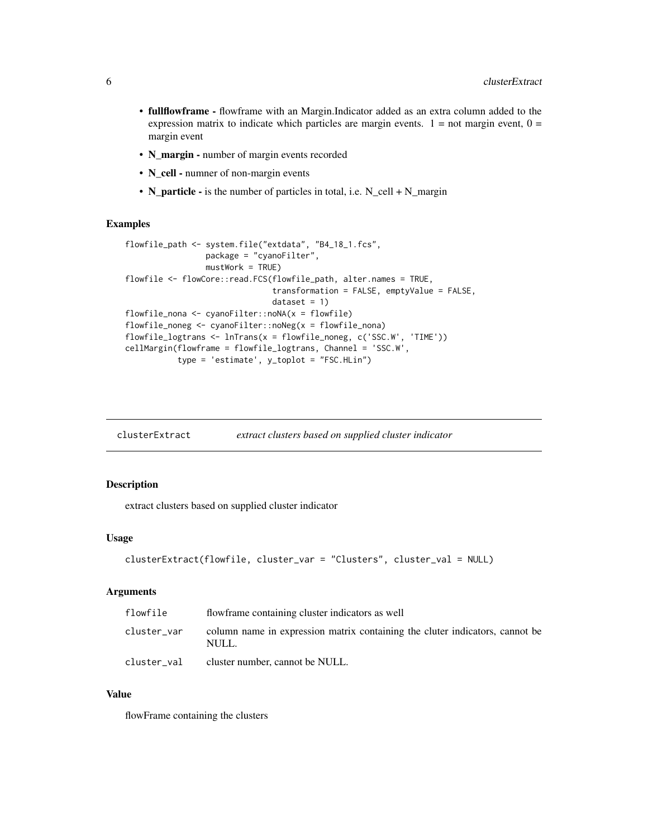- <span id="page-5-0"></span>• fullflowframe - flowframe with an Margin.Indicator added as an extra column added to the expression matrix to indicate which particles are margin events.  $1 =$  not margin event,  $0 =$ margin event
- N\_margin number of margin events recorded
- N\_cell numner of non-margin events
- N\_particle is the number of particles in total, i.e. N\_cell + N\_margin

#### Examples

```
flowfile_path <- system.file("extdata", "B4_18_1.fcs",
                 package = "cyanoFilter",
                 mustWork = TRUE)
flowfile <- flowCore::read.FCS(flowfile_path, alter.names = TRUE,
                               transformation = FALSE, emptyValue = FALSE,
                               dataset = 1)flowfile_nona <- cyanoFilter::noNA(x = flowfile)
flowfile_noneg <- cyanoFilter::noNeg(x = flowfile_nona)
flowfile_logtrans <- lnTrans(x = flowfile_noneg, c('SSC.W', 'TIME'))
cellMargin(flowframe = flowfile_logtrans, Channel = 'SSC.W',
          type = 'estimate', y_toplot = "FSC.HLin")
```

|  | clusterExtract | extract clusters based on supplied cluster indicator |  |
|--|----------------|------------------------------------------------------|--|
|--|----------------|------------------------------------------------------|--|

#### Description

extract clusters based on supplied cluster indicator

# Usage

```
clusterExtract(flowfile, cluster_var = "Clusters", cluster_val = NULL)
```
# Arguments

| flowfile    | flowframe containing cluster indicators as well                                       |
|-------------|---------------------------------------------------------------------------------------|
| cluster_var | column name in expression matrix containing the cluter indicators, cannot be<br>NULL. |
| cluster_val | cluster number, cannot be NULL.                                                       |

#### Value

flowFrame containing the clusters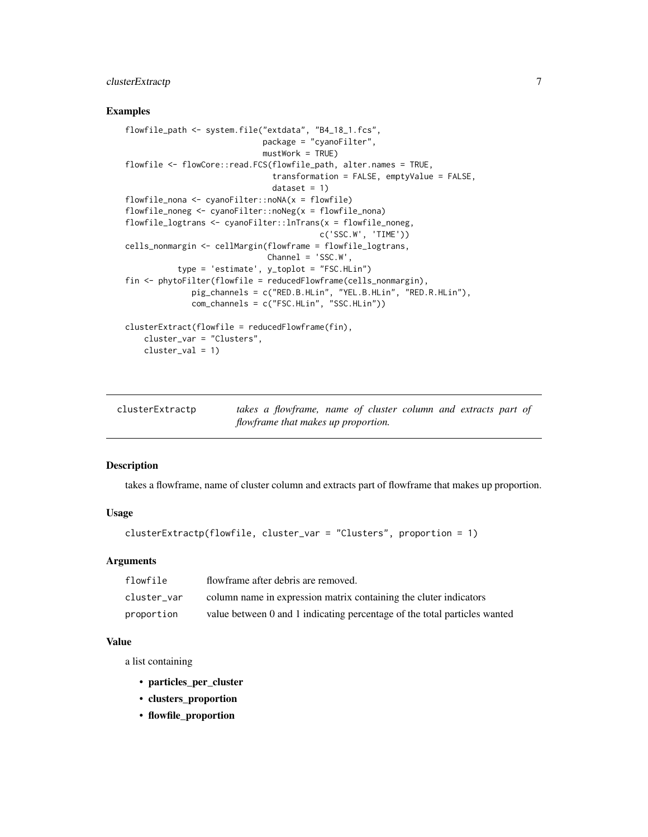# <span id="page-6-0"></span>clusterExtractp 7

#### Examples

```
flowfile_path <- system.file("extdata", "B4_18_1.fcs",
                            package = "cyanoFilter",
                             mustWork = TRUE)
flowfile <- flowCore::read.FCS(flowfile_path, alter.names = TRUE,
                               transformation = FALSE, emptyValue = FALSE,
                               dataset = 1)flowfile_nona <- cyanoFilter::noNA(x = flowfile)
flowfile_noneg <- cyanoFilter::noNeg(x = flowfile_nona)
flowfile_logtrans <- cyanoFilter::lnTrans(x = flowfile_noneg,
                                        c('SSC.W', 'TIME'))
cells_nonmargin <- cellMargin(flowframe = flowfile_logtrans,
                             Channel = 'SSC.W',
          type = 'estimate', y_toplot = "FSC.HLin")
fin <- phytoFilter(flowfile = reducedFlowframe(cells_nonmargin),
             pig_channels = c("RED.B.HLin", "YEL.B.HLin", "RED.R.HLin"),
              com_channels = c("FSC.HLin", "SSC.HLin"))
clusterExtract(flowfile = reducedFlowframe(fin),
   cluster_var = "Clusters",
   cluster_val = 1)
```

| clusterExtractp                     | takes a flowframe, name of cluster column and extracts part of |  |  |  |  |  |
|-------------------------------------|----------------------------------------------------------------|--|--|--|--|--|
| flowframe that makes up proportion. |                                                                |  |  |  |  |  |

#### Description

takes a flowframe, name of cluster column and extracts part of flowframe that makes up proportion.

# Usage

```
clusterExtractp(flowfile, cluster_var = "Clusters", proportion = 1)
```
#### Arguments

| flowfile    | flowframe after debris are removed.                                       |
|-------------|---------------------------------------------------------------------------|
| cluster var | column name in expression matrix containing the cluter indicators         |
| proportion  | value between 0 and 1 indicating percentage of the total particles wanted |

#### Value

a list containing

- particles\_per\_cluster
- clusters\_proportion
- flowfile\_proportion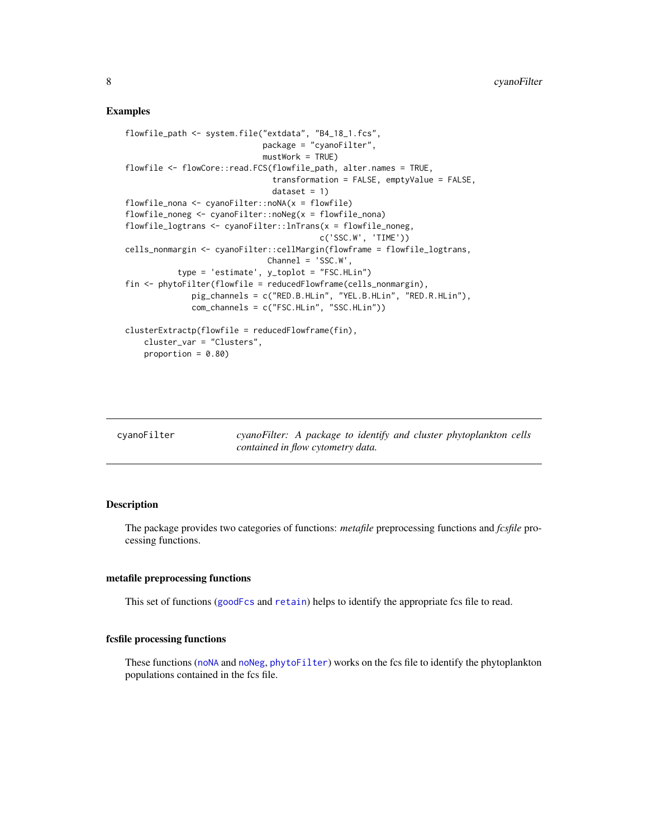#### <span id="page-7-0"></span>Examples

```
flowfile_path <- system.file("extdata", "B4_18_1.fcs",
                            package = "cyanoFilter",
                             mustWork = TRUE)flowfile <- flowCore::read.FCS(flowfile_path, alter.names = TRUE,
                               transformation = FALSE, emptyValue = FALSE,
                               dataset = 1)flowfile_nona <- cyanoFilter::noNA(x = flowfile)
flowfile_noneg <- cyanoFilter::noNeg(x = flowfile_nona)
flowfile_logtrans <- cyanoFilter::lnTrans(x = flowfile_noneg,
                                         c('SSC.W', 'TIME'))
cells_nonmargin <- cyanoFilter::cellMargin(flowframe = flowfile_logtrans,
                             Channel = 'SSC.W',
           type = 'estimate', y_toplot = "FSC.HLin")
fin <- phytoFilter(flowfile = reducedFlowframe(cells_nonmargin),
              pig_channels = c("RED.B.HLin", "YEL.B.HLin", "RED.R.HLin"),
              com_channels = c("FSC.HLin", "SSC.HLin"))
clusterExtractp(flowfile = reducedFlowframe(fin),
   cluster_var = "Clusters",
   proportion = 0.80)
```

| cyanoFilter |                                   |  |  |  | cyanoFilter: A package to identify and cluster phytoplankton cells |  |
|-------------|-----------------------------------|--|--|--|--------------------------------------------------------------------|--|
|             | contained in flow cytometry data. |  |  |  |                                                                    |  |

#### Description

The package provides two categories of functions: *metafile* preprocessing functions and *fcsfile* processing functions.

#### metafile preprocessing functions

This set of functions ([goodFcs](#page-18-1) and [retain](#page-36-1)) helps to identify the appropriate fcs file to read.

### fcsfile processing functions

These functions ([noNA](#page-25-1) and [noNeg](#page-25-2), [phytoFilter](#page-28-1)) works on the fcs file to identify the phytoplankton populations contained in the fcs file.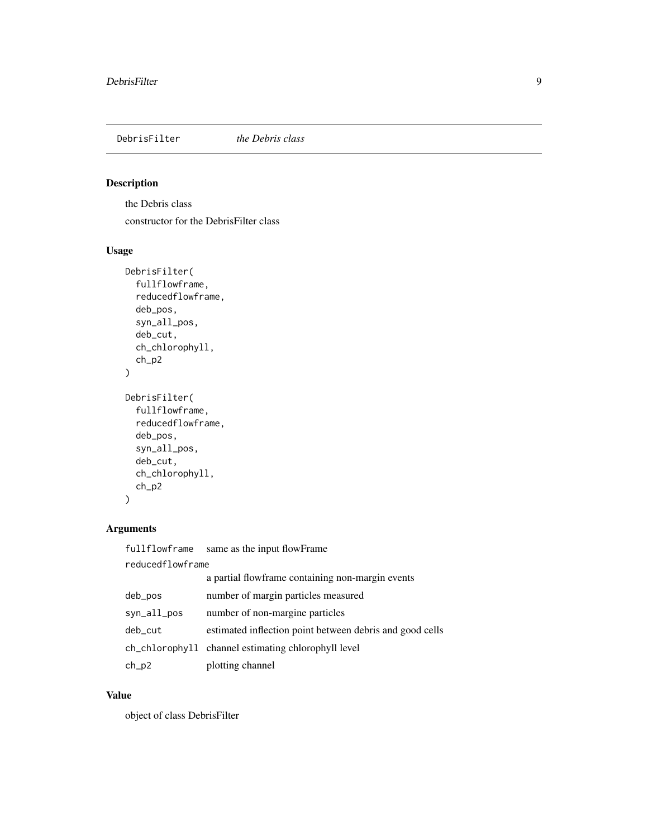<span id="page-8-0"></span>DebrisFilter *the Debris class*

# Description

the Debris class

constructor for the DebrisFilter class

# Usage

```
DebrisFilter(
  fullflowframe,
  reducedflowframe,
  deb_pos,
  syn_all_pos,
  deb_cut,
  ch_chlorophyll,
  ch_p2
\mathcal{L}DebrisFilter(
  fullflowframe,
  reducedflowframe,
 deb_pos,
  syn_all_pos,
 deb_cut,
  ch_chlorophyll,
```
# Arguments

)

ch\_p2

| fullflowframe    | same as the input flowFrame                              |  |  |  |  |
|------------------|----------------------------------------------------------|--|--|--|--|
| reducedflowframe |                                                          |  |  |  |  |
|                  | a partial flowframe containing non-margin events         |  |  |  |  |
| deb_pos          | number of margin particles measured                      |  |  |  |  |
| syn_all_pos      | number of non-margine particles                          |  |  |  |  |
| deb_cut          | estimated inflection point between debris and good cells |  |  |  |  |
|                  | ch_chlorophyll channel estimating chlorophyll level      |  |  |  |  |
| $ch_p2$          | plotting channel                                         |  |  |  |  |

# Value

object of class DebrisFilter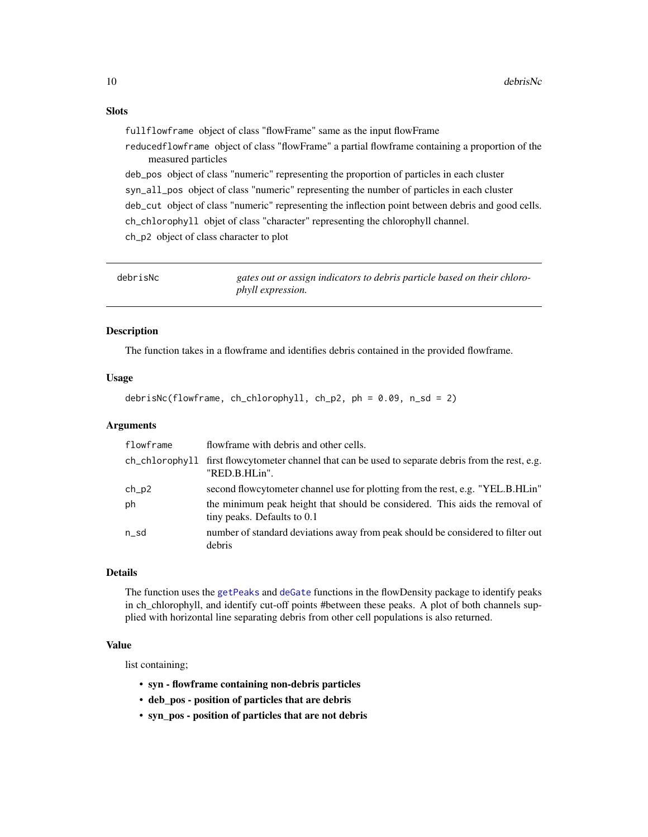<span id="page-9-0"></span>fullflowframe object of class "flowFrame" same as the input flowFrame

reducedflowframe object of class "flowFrame" a partial flowframe containing a proportion of the measured particles

deb\_pos object of class "numeric" representing the proportion of particles in each cluster syn\_all\_pos object of class "numeric" representing the number of particles in each cluster deb\_cut object of class "numeric" representing the inflection point between debris and good cells. ch\_chlorophyll objet of class "character" representing the chlorophyll channel. ch\_p2 object of class character to plot

| debrisNc | gates out or assign indicators to debris particle based on their chloro- |
|----------|--------------------------------------------------------------------------|
|          | <i>phyll expression.</i>                                                 |

#### Description

The function takes in a flowframe and identifies debris contained in the provided flowframe.

# Usage

```
debrisNc(flowframe, ch_chlorophyll, ch_p2, ph = 0.09, n_sd = 2)
```
#### Arguments

| flowframe | flowframe with debris and other cells.                                                                              |
|-----------|---------------------------------------------------------------------------------------------------------------------|
|           | ch_chlorophyll first flowcytometer channel that can be used to separate debris from the rest, e.g.<br>"RED.B.HLin". |
| $ch_p2$   | second flowcytometer channel use for plotting from the rest, e.g. "YEL.B.HLin"                                      |
| ph        | the minimum peak height that should be considered. This aids the removal of<br>tiny peaks. Defaults to 0.1          |
| n sd      | number of standard deviations away from peak should be considered to filter out<br>debris                           |

#### Details

The function uses the [getPeaks](#page-0-0) and [deGate](#page-0-0) functions in the flowDensity package to identify peaks in ch\_chlorophyll, and identify cut-off points #between these peaks. A plot of both channels supplied with horizontal line separating debris from other cell populations is also returned.

# Value

list containing;

- syn flowframe containing non-debris particles
- deb\_pos position of particles that are debris
- syn\_pos position of particles that are not debris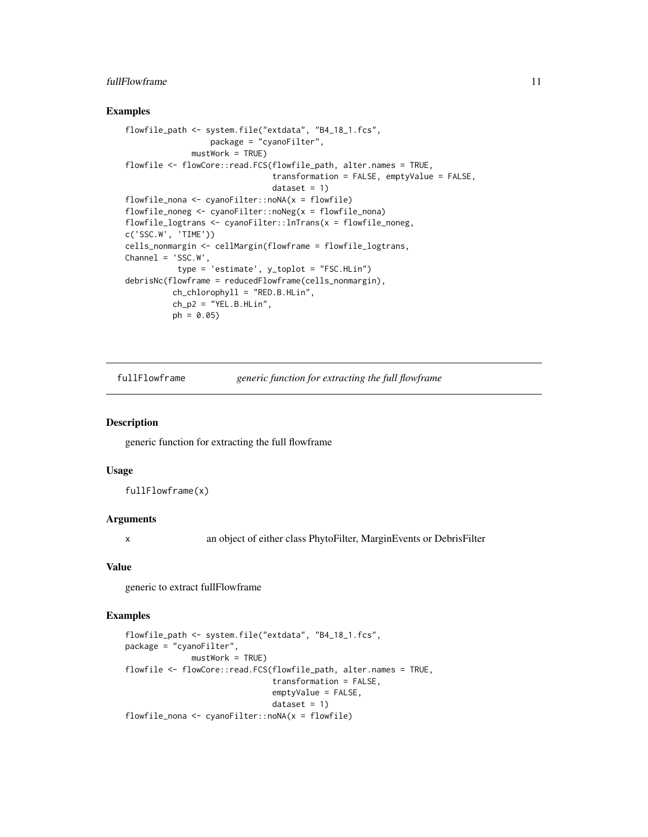# <span id="page-10-0"></span>fullFlowframe 11

#### Examples

```
flowfile_path <- system.file("extdata", "B4_18_1.fcs",
                  package = "cyanoFilter",
              mustWork = TRUE)
flowfile <- flowCore::read.FCS(flowfile_path, alter.names = TRUE,
                               transformation = FALSE, emptyValue = FALSE,
                               dataset = 1)flowfile_nona <- cyanoFilter::noNA(x = flowfile)
flowfile_noneg <- cyanoFilter::noNeg(x = flowfile_nona)
flowfile_logtrans <- cyanoFilter::lnTrans(x = flowfile_noneg,
c('SSC.W', 'TIME'))
cells_nonmargin <- cellMargin(flowframe = flowfile_logtrans,
Channel = 'SSC.W',
           type = 'estimate', y_toplot = "FSC.HLin")
debrisNc(flowframe = reducedFlowframe(cells_nonmargin),
         ch_chlorophyll = "RED.B.HLin",
          ch_p2 = "YEL.B.HLin",ph = 0.05
```
fullFlowframe *generic function for extracting the full flowframe*

#### Description

generic function for extracting the full flowframe

#### Usage

fullFlowframe(x)

#### Arguments

x an object of either class PhytoFilter, MarginEvents or DebrisFilter

#### Value

generic to extract fullFlowframe

```
flowfile_path <- system.file("extdata", "B4_18_1.fcs",
package = "cyanoFilter",
             mustWork = TRUE)
flowfile <- flowCore::read.FCS(flowfile_path, alter.names = TRUE,
                               transformation = FALSE,
                               emptyValue = FALSE,
                               dataset = 1)flowfile_nona <- cyanoFilter::noNA(x = flowfile)
```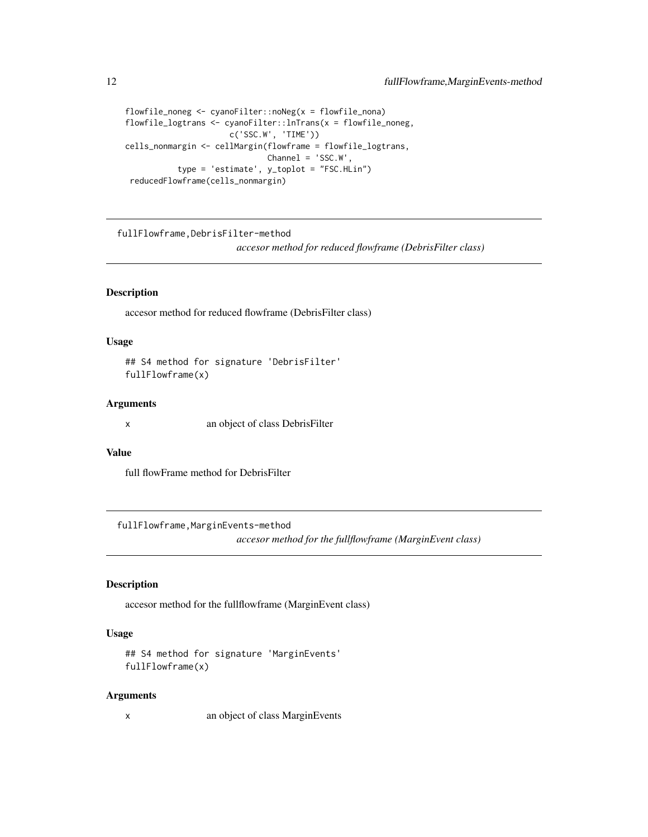```
flowfile_noneg <- cyanoFilter::noNeg(x = flowfile_nona)
flowfile_logtrans <- cyanoFilter::lnTrans(x = flowfile_noneg,
                      c('SSC.W', 'TIME'))
cells_nonmargin <- cellMargin(flowframe = flowfile_logtrans,
                              Channel = 'SSC.W',
           type = 'estimate', y_toplot = "FSC.HLin")
 reducedFlowframe(cells_nonmargin)
```
fullFlowframe,DebrisFilter-method *accesor method for reduced flowframe (DebrisFilter class)*

#### Description

accesor method for reduced flowframe (DebrisFilter class)

#### Usage

```
## S4 method for signature 'DebrisFilter'
fullFlowframe(x)
```
#### **Arguments**

x an object of class DebrisFilter

#### Value

full flowFrame method for DebrisFilter

fullFlowframe,MarginEvents-method

*accesor method for the fullflowframe (MarginEvent class)*

# Description

accesor method for the fullflowframe (MarginEvent class)

# Usage

```
## S4 method for signature 'MarginEvents'
fullFlowframe(x)
```
#### Arguments

x an object of class MarginEvents

<span id="page-11-0"></span>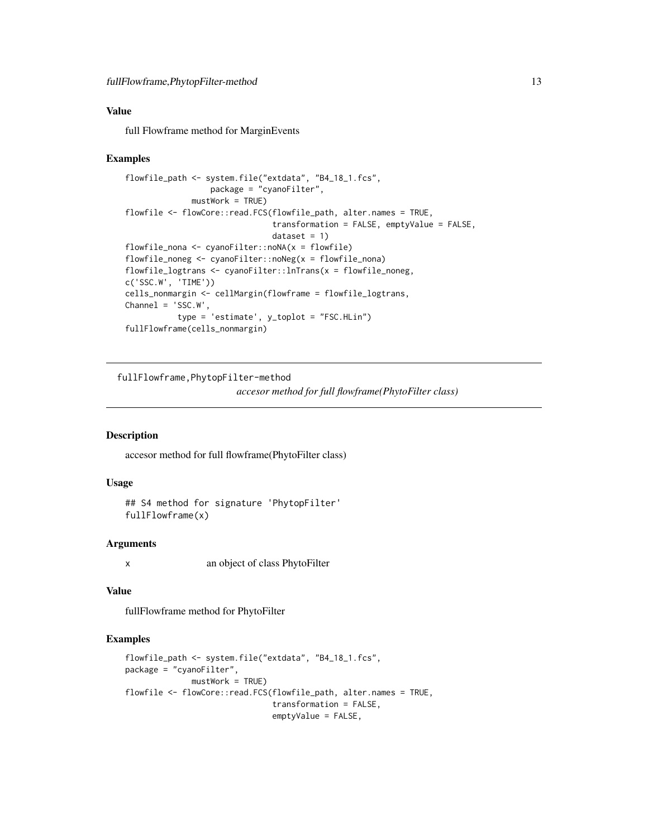# <span id="page-12-0"></span>Value

full Flowframe method for MarginEvents

#### Examples

```
flowfile_path <- system.file("extdata", "B4_18_1.fcs",
                  package = "cyanoFilter",
              mustWork = TRUE)
flowfile <- flowCore::read.FCS(flowfile_path, alter.names = TRUE,
                               transformation = FALSE, emptyValue = FALSE,
                               dataset = 1)flowfile_nona <- cyanoFilter::noNA(x = flowfile)
flowfile_noneg <- cyanoFilter::noNeg(x = flowfile_nona)
flowfile_logtrans <- cyanoFilter::lnTrans(x = flowfile_noneg,
c('SSC.W', 'TIME'))
cells_nonmargin <- cellMargin(flowframe = flowfile_logtrans,
Channel = 'SSC.W',
           type = 'estimate', y_toplot = "FSC.HLin")
fullFlowframe(cells_nonmargin)
```
fullFlowframe,PhytopFilter-method

*accesor method for full flowframe(PhytoFilter class)*

# Description

accesor method for full flowframe(PhytoFilter class)

# Usage

```
## S4 method for signature 'PhytopFilter'
fullFlowframe(x)
```
#### Arguments

x an object of class PhytoFilter

#### Value

fullFlowframe method for PhytoFilter

```
flowfile_path <- system.file("extdata", "B4_18_1.fcs",
package = "cyanoFilter",
             mustWork = TRUE)
flowfile <- flowCore::read.FCS(flowfile_path, alter.names = TRUE,
                               transformation = FALSE,
                               emptyValue = FALSE,
```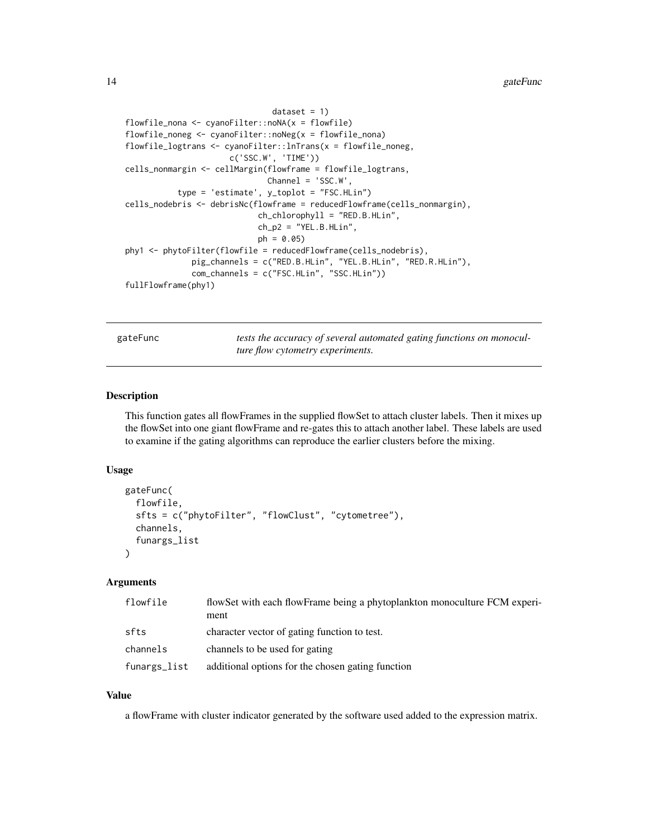```
dataset = 1)flowfile_nona <- cyanoFilter::noNA(x = flowfile)
flowfile_noneg <- cyanoFilter::noNeg(x = flowfile_nona)
flowfile_logtrans <- cyanoFilter::lnTrans(x = flowfile_noneg,
                      c('SSC.W', 'TIME'))
cells_nonmargin <- cellMargin(flowframe = flowfile_logtrans,
                              Channel = 'SSC.W',
           type = 'estimate', y_toplot = "FSC.HLin")
cells_nodebris <- debrisNc(flowframe = reducedFlowframe(cells_nonmargin),
                            ch_chlorophyll = "RED.B.HLin",
                            ch_p2 = "YEL.B.HLin",ph = 0.05)
phy1 <- phytoFilter(flowfile = reducedFlowframe(cells_nodebris),
              pig_channels = c("RED.B.HLin", "YEL.B.HLin", "RED.R.HLin"),
              com_channels = c("FSC.HLin", "SSC.HLin"))
fullFlowframe(phy1)
```
gateFunc *tests the accuracy of several automated gating functions on monoculture flow cytometry experiments.*

#### Description

This function gates all flowFrames in the supplied flowSet to attach cluster labels. Then it mixes up the flowSet into one giant flowFrame and re-gates this to attach another label. These labels are used to examine if the gating algorithms can reproduce the earlier clusters before the mixing.

# Usage

```
gateFunc(
  flowfile,
  sfts = c("phytoFilter", "flowClust", "cytometree"),
  channels,
  funargs_list
)
```
#### Arguments

| flowfile     | flowSet with each flowFrame being a phytoplankton monoculture FCM experi-<br>ment |
|--------------|-----------------------------------------------------------------------------------|
| sfts         | character vector of gating function to test.                                      |
| channels     | channels to be used for gating                                                    |
| funargs_list | additional options for the chosen gating function                                 |

#### Value

a flowFrame with cluster indicator generated by the software used added to the expression matrix.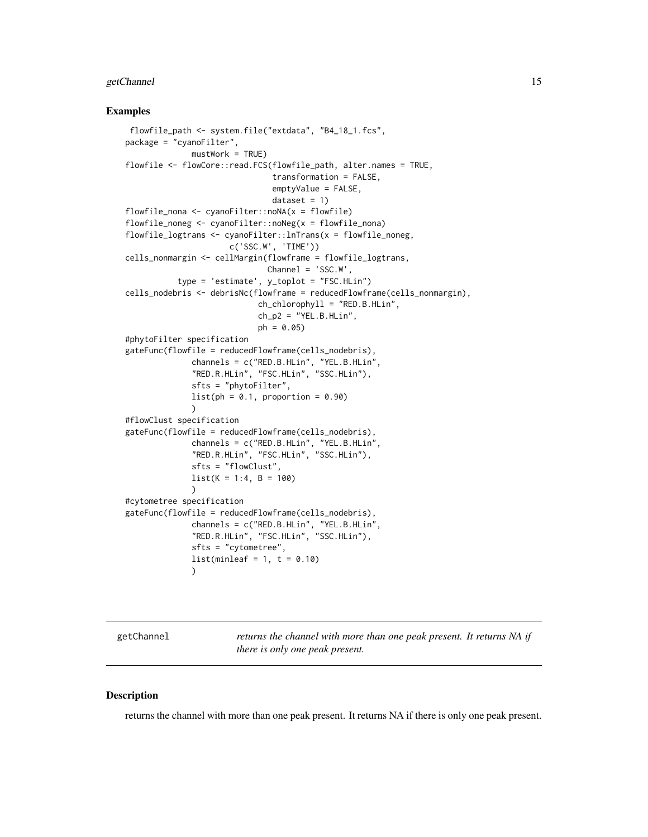# <span id="page-14-0"></span>getChannel 15

#### Examples

```
flowfile_path <- system.file("extdata", "B4_18_1.fcs",
package = "cyanoFilter",
              mustWork = TRUE)
flowfile <- flowCore::read.FCS(flowfile_path, alter.names = TRUE,
                               transformation = FALSE,
                               emptyValue = FALSE,
                               dataset = 1flowfile\_nona \leq cyanoFilter::nonA(x = flowfile)flowfile_noneg <- cyanoFilter::noNeg(x = flowfile_nona)
flowfile_logtrans <- cyanoFilter::lnTrans(x = flowfile_noneg,
                      c('SSC.W', 'TIME'))
cells_nonmargin <- cellMargin(flowframe = flowfile_logtrans,
                              Channel = 'SSC.W',type = 'estimate', y_toplot = "FSC.HLin")
cells_nodebris <- debrisNc(flowframe = reducedFlowframe(cells_nonmargin),
                            ch_chlorophyll = "RED.B.HLin",
                            ch_p2 = "YEL.B.HLin",ph = 0.05)
#phytoFilter specification
gateFunc(flowfile = reducedFlowframe(cells_nodebris),
              channels = c("RED.B.HLin", "YEL.B.HLin",
              "RED.R.HLin", "FSC.HLin", "SSC.HLin"),
              sfts = "phytoFilter",
              list(ph = 0.1, proportion = 0.90)\lambda#flowClust specification
gateFunc(flowfile = reducedFlowframe(cells_nodebris),
              channels = c("RED.B.HLin", "YEL.B.HLin",
              "RED.R.HLin", "FSC.HLin", "SSC.HLin"),
              sfts = "flowClust",
              list(K = 1:4, B = 100))
#cytometree specification
gateFunc(flowfile = reducedFlowframe(cells_nodebris),
              channels = c("RED.B.HLin", "YEL.B.HLin",
              "RED.R.HLin", "FSC.HLin", "SSC.HLin"),
              sfts = "cytometree",
              list(minleaf = 1, t = 0.10)
              \lambda
```
<span id="page-14-1"></span>getChannel *returns the channel with more than one peak present. It returns NA if there is only one peak present.*

# Description

returns the channel with more than one peak present. It returns NA if there is only one peak present.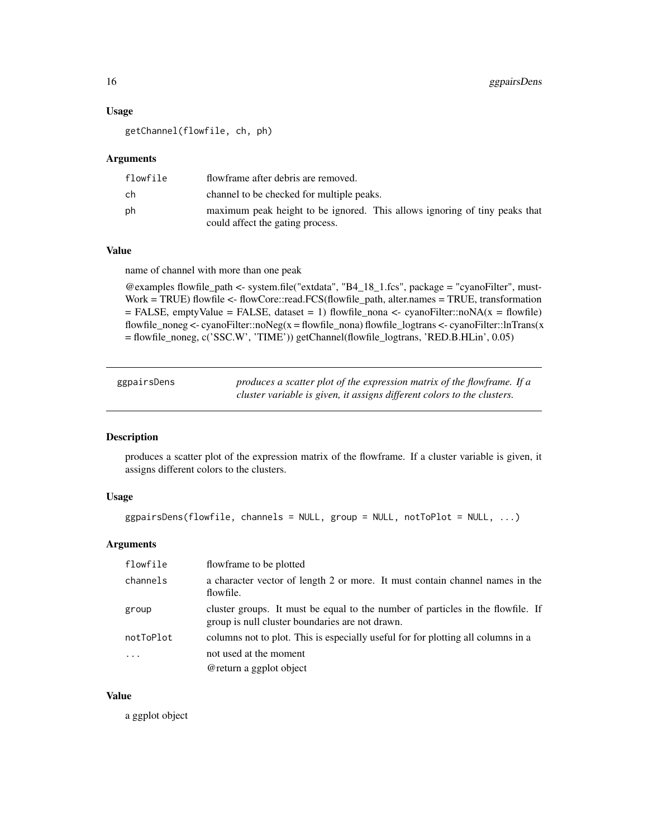#### Usage

getChannel(flowfile, ch, ph)

### **Arguments**

| flowfile | flowframe after debris are removed.                                                                            |
|----------|----------------------------------------------------------------------------------------------------------------|
| ch       | channel to be checked for multiple peaks.                                                                      |
| ph       | maximum peak height to be ignored. This allows ignoring of tiny peaks that<br>could affect the gating process. |

# Value

name of channel with more than one peak

 $@$ examples flowfile\_path <- system.file("extdata", "B4\_18\_1.fcs", package = "cyanoFilter", must-Work = TRUE) flowfile <- flowCore::read.FCS(flowfile\_path, alter.names = TRUE, transformation  $=$  FALSE, emptyValue  $=$  FALSE, dataset  $=$  1) flowfile\_nona  $\lt$ - cyanoFilter::noNA(x  $=$  flowfile) flowfile\_noneg <- cyanoFilter::noNeg(x = flowfile\_nona) flowfile\_logtrans <- cyanoFilter::lnTrans(x = flowfile\_noneg, c('SSC.W', 'TIME')) getChannel(flowfile\_logtrans, 'RED.B.HLin', 0.05)

| ggpairsDens | produces a scatter plot of the expression matrix of the flowframe. If a |
|-------------|-------------------------------------------------------------------------|
|             | cluster variable is given, it assigns different colors to the clusters. |

# Description

produces a scatter plot of the expression matrix of the flowframe. If a cluster variable is given, it assigns different colors to the clusters.

# Usage

```
ggpairsDens(flowfile, channels = NULL, group = NULL, notToPlot = NULL, ...)
```
#### Arguments

| flowfile  | flowframe to be plotted                                                                                                            |
|-----------|------------------------------------------------------------------------------------------------------------------------------------|
| channels  | a character vector of length 2 or more. It must contain channel names in the<br>flowfile.                                          |
| group     | cluster groups. It must be equal to the number of particles in the flowfile. If<br>group is null cluster boundaries are not drawn. |
| notToPlot | columns not to plot. This is especially useful for for plotting all columns in a                                                   |
| $\cdots$  | not used at the moment                                                                                                             |
|           | @return a ggplot object                                                                                                            |

# Value

a ggplot object

<span id="page-15-0"></span>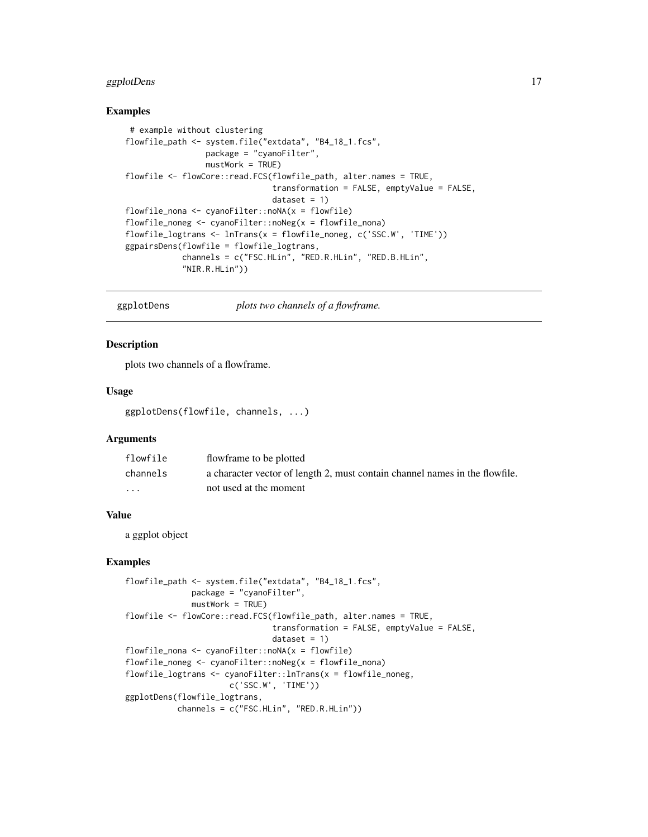# <span id="page-16-0"></span>ggplotDens 17

#### Examples

```
# example without clustering
flowfile_path <- system.file("extdata", "B4_18_1.fcs",
                 package = "cyanoFilter",
                 mustWork = TRUE)flowfile <- flowCore::read.FCS(flowfile_path, alter.names = TRUE,
                               transformation = FALSE, emptyValue = FALSE,
                               dataset = 1)flowfile_nona <- cyanoFilter::noNA(x = flowfile)
flowfile\_noneg \leftarrow cyanofilter::noNeg(x = flowfile\_nona)flowfile_logtrans <- lnTrans(x = flowfile_noneg, c('SSC.W', 'TIME'))
ggpairsDens(flowfile = flowfile_logtrans,
            channels = c("FSC.HLin", "RED.R.HLin", "RED.B.HLin",
            "NIR.R.HLin"))
```

```
ggplotDens plots two channels of a flowframe.
```
#### Description

plots two channels of a flowframe.

#### Usage

ggplotDens(flowfile, channels, ...)

#### Arguments

| flowfile | flowframe to be plotted                                                     |
|----------|-----------------------------------------------------------------------------|
| channels | a character vector of length 2, must contain channel names in the flowfile. |
| $\cdots$ | not used at the moment                                                      |

#### Value

a ggplot object

```
flowfile_path <- system.file("extdata", "B4_18_1.fcs",
             package = "cyanoFilter",
             mustWork = TRUE)
flowfile <- flowCore::read.FCS(flowfile_path, alter.names = TRUE,
                               transformation = FALSE, emptyValue = FALSE,
                               dataset = 1)flowfile_nona <- cyanoFilter::noNA(x = flowfile)
flowfile_noneg <- cyanoFilter::noNeg(x = flowfile_nona)
flowfile_logtrans <- cyanoFilter::lnTrans(x = flowfile_noneg,
                      c('SSC.W', 'TIME'))
ggplotDens(flowfile_logtrans,
           channels = c("FSC.HLin", "RED.R.HLin"))
```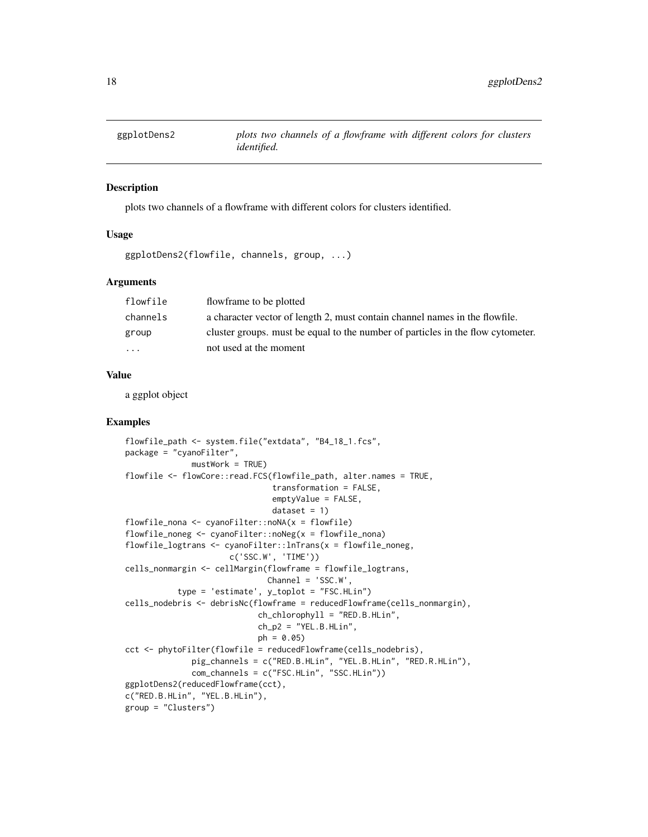<span id="page-17-0"></span>

# Description

plots two channels of a flowframe with different colors for clusters identified.

#### Usage

```
ggplotDens2(flowfile, channels, group, ...)
```
# Arguments

| flowfile             | flowframe to be plotted                                                         |
|----------------------|---------------------------------------------------------------------------------|
| channels             | a character vector of length 2, must contain channel names in the flowfile.     |
| group                | cluster groups, must be equal to the number of particles in the flow cytometer. |
| $\ddot{\phantom{0}}$ | not used at the moment                                                          |

# Value

a ggplot object

```
flowfile_path <- system.file("extdata", "B4_18_1.fcs",
package = "cyanoFilter",
             mustWork = TRUE)
flowfile <- flowCore::read.FCS(flowfile_path, alter.names = TRUE,
                               transformation = FALSE,
                               emptyValue = FALSE,
                               dataset = 1flowfile_nona <- cyanoFilter::noNA(x = flowfile)
flowfile_noneg <- cyanoFilter::noNeg(x = flowfile_nona)
flowfile_logtrans <- cyanoFilter::lnTrans(x = flowfile_noneg,
                      c('SSC.W', 'TIME'))
cells_nonmargin <- cellMargin(flowframe = flowfile_logtrans,
                             Channel = 'SSC.W',
           type = 'estimate', y_toplot = "FSC.HLin")
cells_nodebris <- debrisNc(flowframe = reducedFlowframe(cells_nonmargin),
                            ch_chlorophyll = "RED.B.HLin",
                            ch_p2 = "YEL.B.HLin",ph = 0.05)
cct <- phytoFilter(flowfile = reducedFlowframe(cells_nodebris),
              pig_channels = c("RED.B.HLin", "YEL.B.HLin", "RED.R.HLin"),
              com_channels = c("FSC.HLin", "SSC.HLin"))
ggplotDens2(reducedFlowframe(cct),
c("RED.B.HLin", "YEL.B.HLin"),
group = "Clusters")
```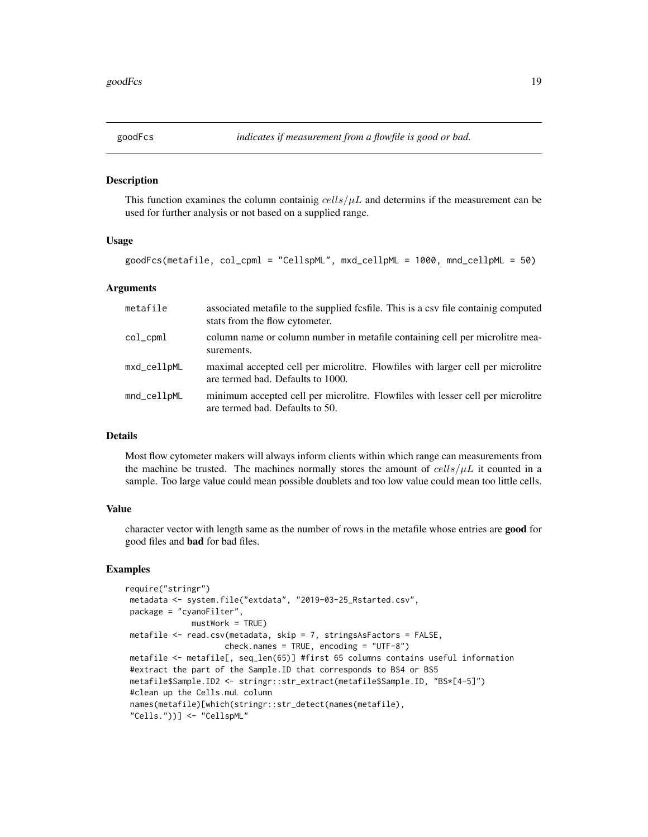<span id="page-18-1"></span><span id="page-18-0"></span>

#### Description

This function examines the column containig  $cells/\mu L$  and determins if the measurement can be used for further analysis or not based on a supplied range.

#### Usage

goodFcs(metafile, col\_cpml = "CellspML", mxd\_cellpML = 1000, mnd\_cellpML = 50)

#### Arguments

| metafile    | associated metafile to the supplied fcsfile. This is a csv file containig computed<br>stats from the flow cytometer. |
|-------------|----------------------------------------------------------------------------------------------------------------------|
| col_cpml    | column name or column number in metafile containing cell per microlitre mea-<br>surements.                           |
| mxd_cellpML | maximal accepted cell per microlitre. Flowfiles with larger cell per microlitre<br>are termed bad. Defaults to 1000. |
| mnd_cellpML | minimum accepted cell per microlitre. Flowfiles with lesser cell per microlitre<br>are termed bad. Defaults to 50.   |

# Details

Most flow cytometer makers will always inform clients within which range can measurements from the machine be trusted. The machines normally stores the amount of  $\text{cells}/\mu\text{L}$  it counted in a sample. Too large value could mean possible doublets and too low value could mean too little cells.

# Value

character vector with length same as the number of rows in the metafile whose entries are good for good files and bad for bad files.

```
require("stringr")
metadata <- system.file("extdata", "2019-03-25_Rstarted.csv",
package = "cyanoFilter",
             mustWork = TRUE)
metafile <- read.csv(metadata, skip = 7, stringsAsFactors = FALSE,
                    check.names = TRUE, encoding = "UTF-8")metafile <- metafile[, seq_len(65)] #first 65 columns contains useful information
#extract the part of the Sample.ID that corresponds to BS4 or BS5
metafile$Sample.ID2 <- stringr::str_extract(metafile$Sample.ID, "BS*[4-5]")
#clean up the Cells.muL column
names(metafile)[which(stringr::str_detect(names(metafile),
"Cells."))] <- "CellspML"
```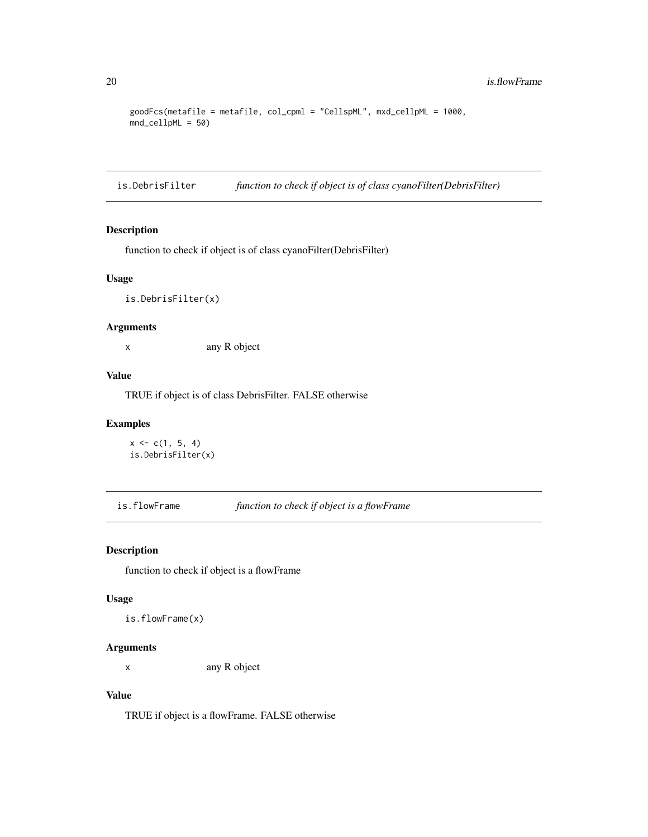```
goodFcs(metafile = metafile, col_cpml = "CellspML", mxd_cellpML = 1000,
mnd_cellpML = 50)
```
is.DebrisFilter *function to check if object is of class cyanoFilter(DebrisFilter)*

# Description

function to check if object is of class cyanoFilter(DebrisFilter)

# Usage

is.DebrisFilter(x)

# Arguments

x any R object

# Value

TRUE if object is of class DebrisFilter. FALSE otherwise

# Examples

```
x \leq c(1, 5, 4)is.DebrisFilter(x)
```
is.flowFrame *function to check if object is a flowFrame*

# Description

function to check if object is a flowFrame

#### Usage

is.flowFrame(x)

# Arguments

x any R object

# Value

TRUE if object is a flowFrame. FALSE otherwise

<span id="page-19-0"></span>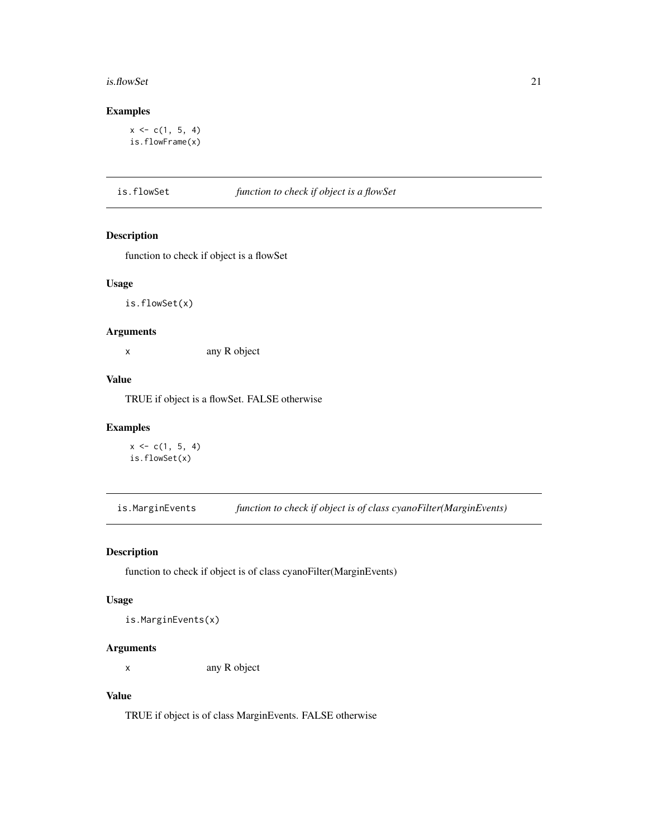#### <span id="page-20-0"></span>is.flowSet 21

# Examples

```
x \leq c(1, 5, 4)is.flowFrame(x)
```
is.flowSet *function to check if object is a flowSet*

# Description

function to check if object is a flowSet

# Usage

is.flowSet(x)

# Arguments

x any R object

# Value

TRUE if object is a flowSet. FALSE otherwise

# Examples

```
x \leq c(1, 5, 4)is.flowSet(x)
```
is.MarginEvents *function to check if object is of class cyanoFilter(MarginEvents)*

# Description

function to check if object is of class cyanoFilter(MarginEvents)

# Usage

is.MarginEvents(x)

# Arguments

x any R object

# Value

TRUE if object is of class MarginEvents. FALSE otherwise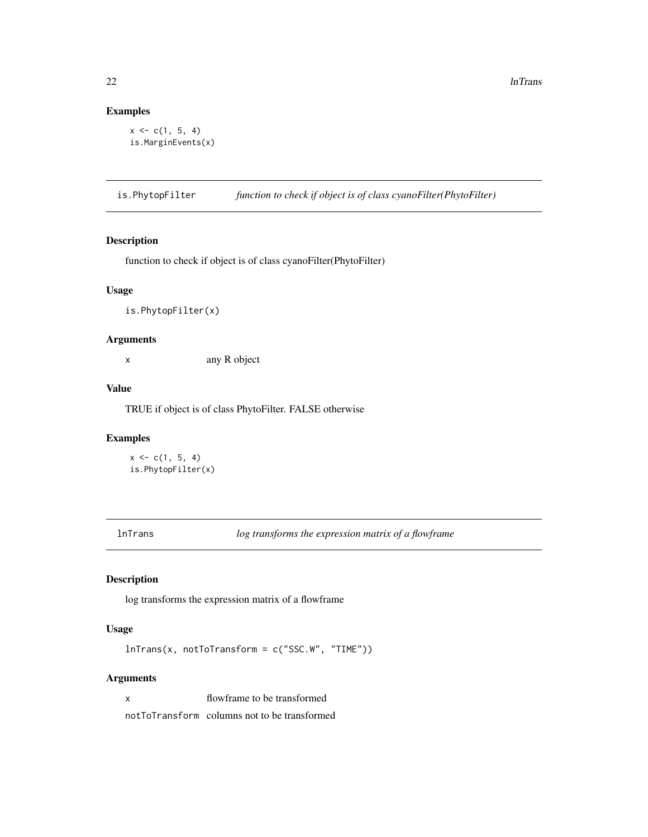# Examples

```
x \leq c(1, 5, 4)is.MarginEvents(x)
```
is.PhytopFilter *function to check if object is of class cyanoFilter(PhytoFilter)*

#### Description

function to check if object is of class cyanoFilter(PhytoFilter)

# Usage

is.PhytopFilter(x)

# Arguments

x any R object

#### Value

TRUE if object is of class PhytoFilter. FALSE otherwise

#### Examples

 $x \leq c(1, 5, 4)$ is.PhytopFilter(x)

lnTrans *log transforms the expression matrix of a flowframe*

# Description

log transforms the expression matrix of a flowframe

# Usage

lnTrans(x, notToTransform = c("SSC.W", "TIME"))

# Arguments

x flowframe to be transformed notToTransform columns not to be transformed

<span id="page-21-0"></span>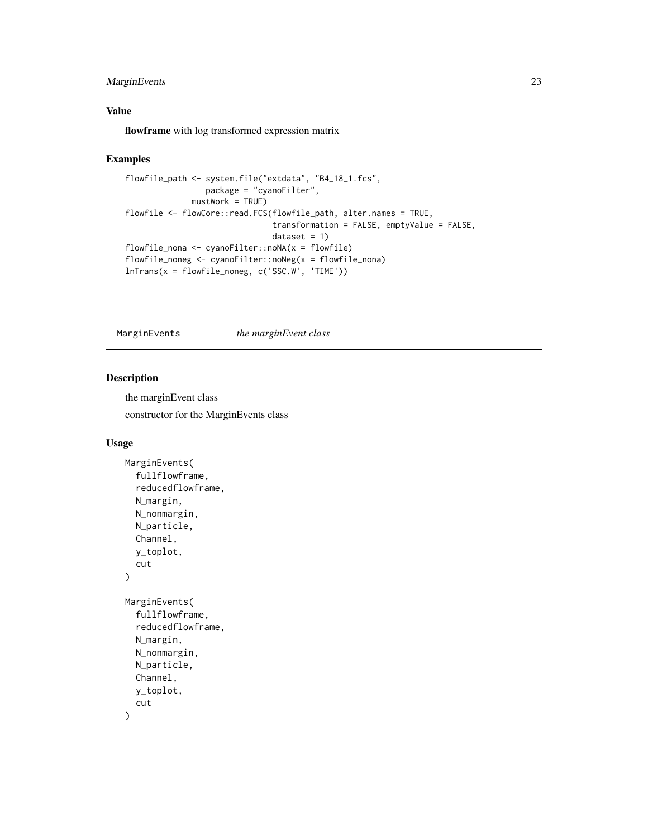# <span id="page-22-0"></span>MarginEvents 23

# Value

flowframe with log transformed expression matrix

#### Examples

```
flowfile_path <- system.file("extdata", "B4_18_1.fcs",
                 package = "cyanoFilter",
              mustWork = TRUE)
flowfile <- flowCore::read.FCS(flowfile_path, alter.names = TRUE,
                               transformation = FALSE, emptyValue = FALSE,
                               dataset = 1)flowfile_nona <- cyanoFilter::noNA(x = flowfile)
flowfile_noneg <- cyanoFilter::noNeg(x = flowfile_nona)
lnTrans(x = flowfile_noneg, c('SSC.W', 'TIME'))
```
MarginEvents *the marginEvent class*

# Description

the marginEvent class constructor for the MarginEvents class

#### Usage

```
MarginEvents(
  fullflowframe,
  reducedflowframe,
  N_margin,
 N_nonmargin,
  N_particle,
  Channel,
  y_toplot,
  cut
\lambdaMarginEvents(
  fullflowframe,
  reducedflowframe,
  N_margin,
 N_nonmargin,
 N_particle,
  Channel,
  y_toplot,
  cut
)
```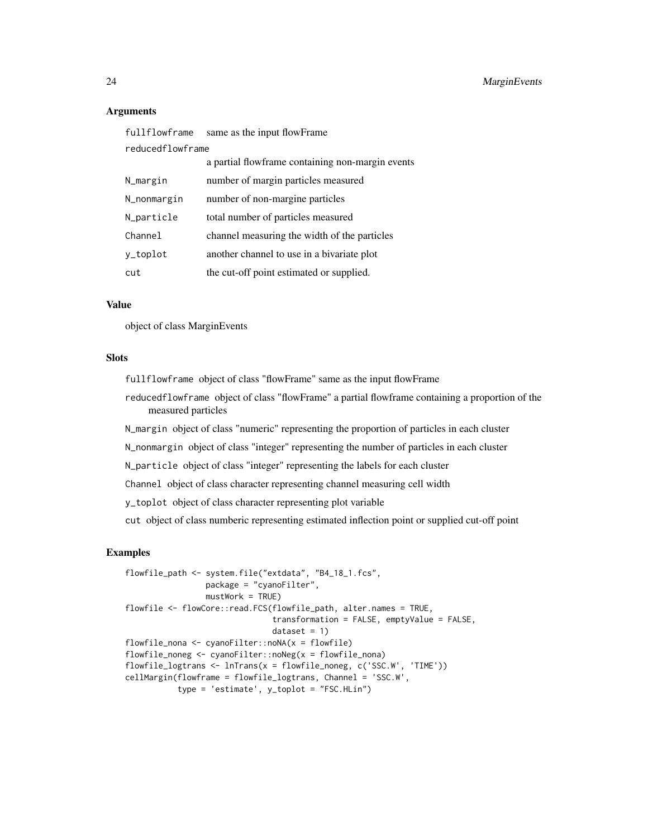#### Arguments

| fullflowframe    | same as the input flowFrame                      |
|------------------|--------------------------------------------------|
| reducedflowframe |                                                  |
|                  | a partial flowframe containing non-margin events |
| N_margin         | number of margin particles measured              |
| N_nonmargin      | number of non-margine particles                  |
| N_particle       | total number of particles measured               |
| Channel          | channel measuring the width of the particles     |
| y_toplot         | another channel to use in a bivariate plot       |
| cut              | the cut-off point estimated or supplied.         |

# Value

object of class MarginEvents

#### **Slots**

fullflowframe object of class "flowFrame" same as the input flowFrame reducedflowframe object of class "flowFrame" a partial flowframe containing a proportion of the measured particles N\_margin object of class "numeric" representing the proportion of particles in each cluster N\_nonmargin object of class "integer" representing the number of particles in each cluster N\_particle object of class "integer" representing the labels for each cluster Channel object of class character representing channel measuring cell width y\_toplot object of class character representing plot variable cut object of class numberic representing estimated inflection point or supplied cut-off point

```
flowfile_path <- system.file("extdata", "B4_18_1.fcs",
                 package = "cyanoFilter",
                 mustWork = TRUE)
flowfile <- flowCore::read.FCS(flowfile_path, alter.names = TRUE,
                               transformation = FALSE, emptyValue = FALSE,
                               dataset = 1)flowfile_nona <- cyanoFilter::noNA(x = flowfile)
flowfile_noneg <- cyanoFilter::noNeg(x = flowfile_nona)
flowfile_logtrans <- lnTrans(x = flowfile_noneg, c('SSC.W', 'TIME'))
cellMargin(flowframe = flowfile_logtrans, Channel = 'SSC.W',
          type = 'estimate', y_toplot = "FSC.HLin")
```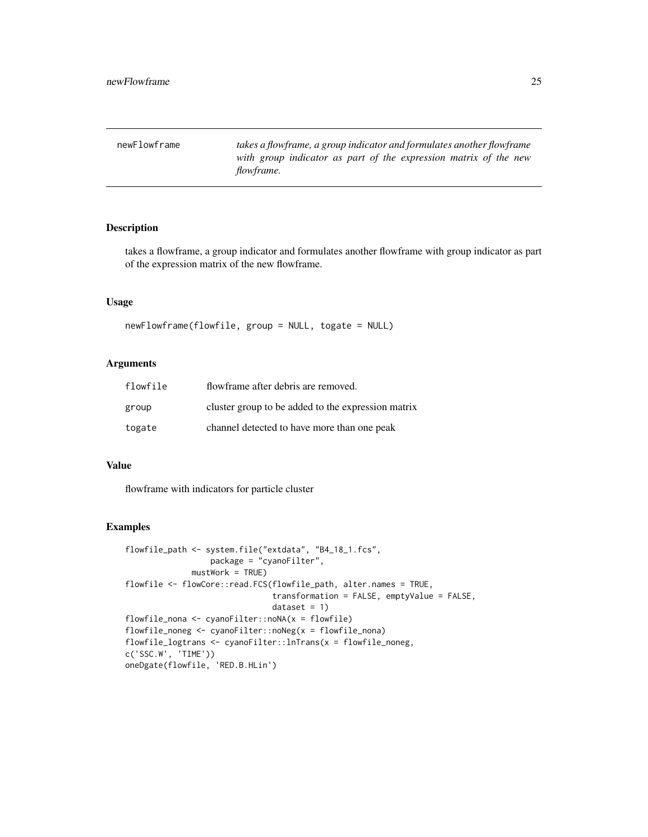<span id="page-24-0"></span>newFlowframe *takes a flowframe, a group indicator and formulates another flowframe with group indicator as part of the expression matrix of the new flowframe.*

# Description

takes a flowframe, a group indicator and formulates another flowframe with group indicator as part of the expression matrix of the new flowframe.

# Usage

newFlowframe(flowfile, group = NULL, togate = NULL)

#### Arguments

| flowfile | flowframe after debris are removed.                |
|----------|----------------------------------------------------|
| group    | cluster group to be added to the expression matrix |
| togate   | channel detected to have more than one peak        |

# Value

flowframe with indicators for particle cluster

```
flowfile_path <- system.file("extdata", "B4_18_1.fcs",
                  package = "cyanoFilter",
             mustWork = TRUE)
flowfile <- flowCore::read.FCS(flowfile_path, alter.names = TRUE,
                               transformation = FALSE, emptyValue = FALSE,
                               dataset = 1)flowfile_nona \leq cyanoFilter::noNA(x = flowfile)
flowfile_noneg <- cyanoFilter::noNeg(x = flowfile_nona)
flowfile_logtrans <- cyanoFilter::lnTrans(x = flowfile_noneg,
c('SSC.W', 'TIME'))
oneDgate(flowfile, 'RED.B.HLin')
```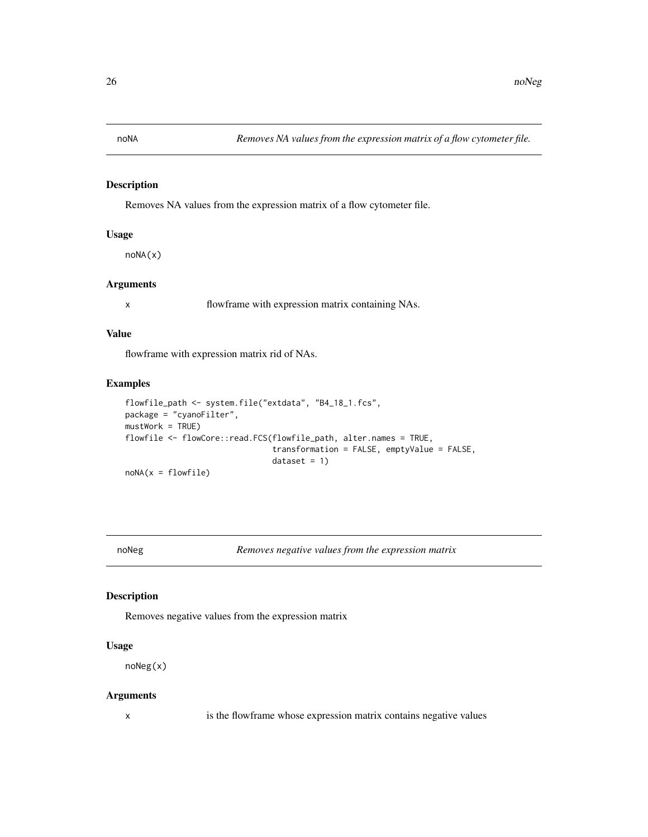<span id="page-25-1"></span><span id="page-25-0"></span>

# Description

Removes NA values from the expression matrix of a flow cytometer file.

#### Usage

noNA(x)

# Arguments

x flowframe with expression matrix containing NAs.

#### Value

flowframe with expression matrix rid of NAs.

# Examples

```
flowfile_path <- system.file("extdata", "B4_18_1.fcs",
package = "cyanoFilter",
mustWork = TRUE)
flowfile <- flowCore::read.FCS(flowfile_path, alter.names = TRUE,
                               transformation = FALSE, emptyValue = FALSE,
                               dataset = 1)noNA(x = flowfile)
```
<span id="page-25-2"></span>noNeg *Removes negative values from the expression matrix*

# Description

Removes negative values from the expression matrix

# Usage

noNeg(x)

#### Arguments

x is the flowframe whose expression matrix contains negative values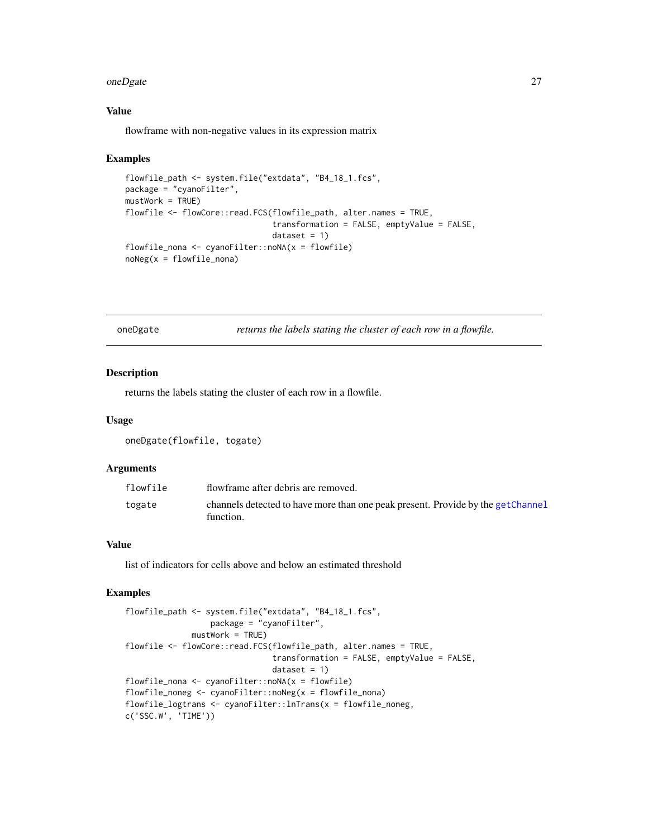#### <span id="page-26-0"></span>oneDgate 27

# Value

flowframe with non-negative values in its expression matrix

#### Examples

```
flowfile_path <- system.file("extdata", "B4_18_1.fcs",
package = "cyanoFilter",
mustWork = TRUE)
flowfile <- flowCore::read.FCS(flowfile_path, alter.names = TRUE,
                               transformation = FALSE, emptyValue = FALSE,
                               dataset = 1)flowfile_nona <- cyanoFilter::noNA(x = flowfile)
noNeg(x =flowfile_nona)
```
oneDgate *returns the labels stating the cluster of each row in a flowfile.*

#### Description

returns the labels stating the cluster of each row in a flowfile.

#### Usage

```
oneDgate(flowfile, togate)
```
#### Arguments

| flowfile | flowframe after debris are removed.                                                          |
|----------|----------------------------------------------------------------------------------------------|
| togate   | channels detected to have more than one peak present. Provide by the getChannel<br>function. |

# Value

list of indicators for cells above and below an estimated threshold

```
flowfile_path <- system.file("extdata", "B4_18_1.fcs",
                 package = "cyanoFilter",
             mustWork = TRUE)
flowfile <- flowCore::read.FCS(flowfile_path, alter.names = TRUE,
                               transformation = FALSE, emptyValue = FALSE,
                               dataset = 1)flowfile_nona <- cyanoFilter::noNA(x = flowfile)
flowfile_noneg <- cyanoFilter::noNeg(x = flowfile_nona)
flowfile_logtrans <- cyanoFilter::lnTrans(x = flowfile_noneg,
c('SSC.W', 'TIME'))
```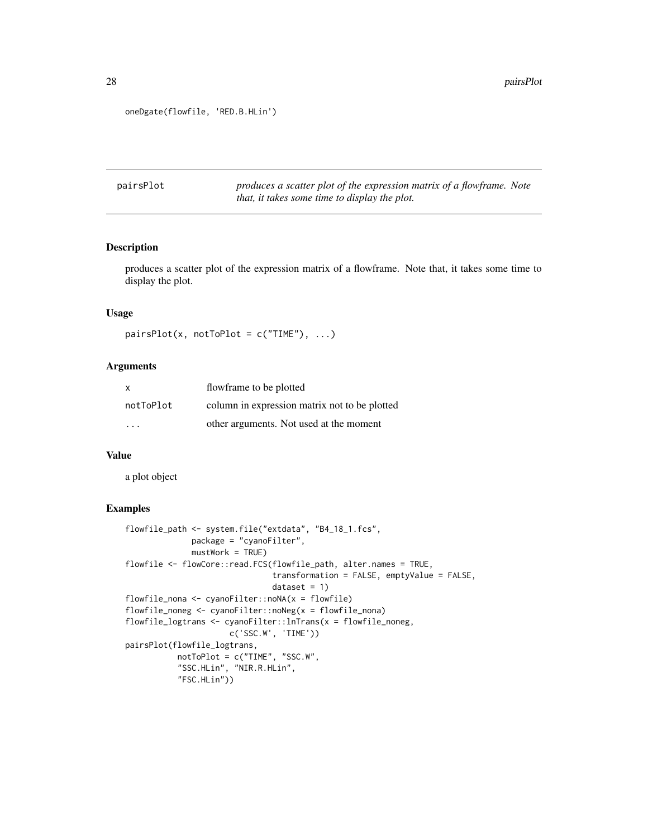```
oneDgate(flowfile, 'RED.B.HLin')
```
pairsPlot *produces a scatter plot of the expression matrix of a flowframe. Note that, it takes some time to display the plot.*

#### Description

produces a scatter plot of the expression matrix of a flowframe. Note that, it takes some time to display the plot.

# Usage

```
pairsPlot(x, notToPlot = c("TIME"), ...)
```
# Arguments

| $\mathsf{x}$ | flowframe to be plotted                       |
|--------------|-----------------------------------------------|
| notToPlot    | column in expression matrix not to be plotted |
| .            | other arguments. Not used at the moment       |

#### Value

a plot object

```
flowfile_path <- system.file("extdata", "B4_18_1.fcs",
             package = "cyanoFilter",
             mustWork = TRUE)
flowfile <- flowCore::read.FCS(flowfile_path, alter.names = TRUE,
                               transformation = FALSE, emptyValue = FALSE,
                               dataset = 1)flowfile_nona <- cyanoFilter::noNA(x = flowfile)
flowfile_noneg <- cyanoFilter::noNeg(x = flowfile_nona)
flowfile_logtrans <- cyanoFilter::lnTrans(x = flowfile_noneg,
                      c('SSC.W', 'TIME'))
pairsPlot(flowfile_logtrans,
           notToPlot = c("TIME", "SSC.W",
           "SSC.HLin", "NIR.R.HLin",
           "FSC.HLin"))
```
<span id="page-27-0"></span>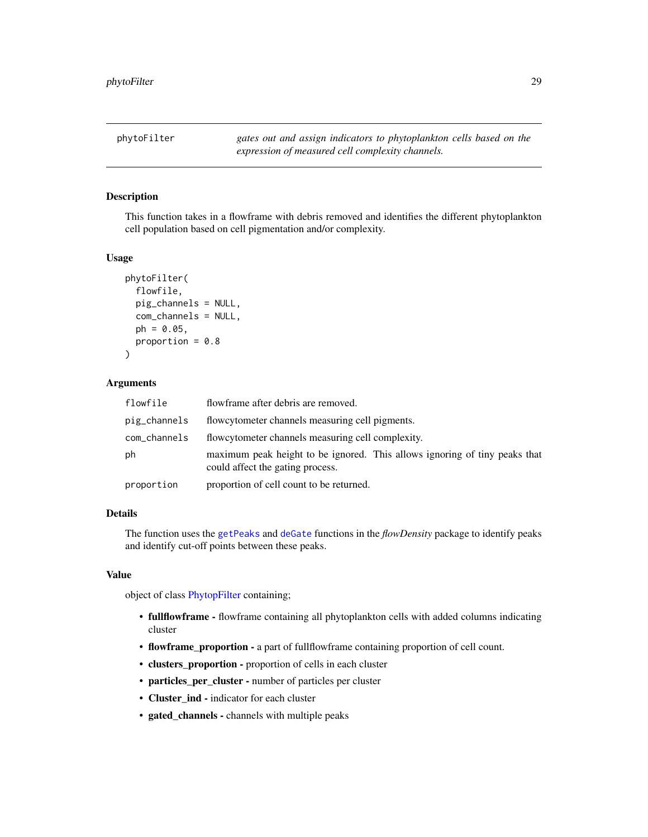<span id="page-28-1"></span><span id="page-28-0"></span>phytoFilter *gates out and assign indicators to phytoplankton cells based on the expression of measured cell complexity channels.*

#### Description

This function takes in a flowframe with debris removed and identifies the different phytoplankton cell population based on cell pigmentation and/or complexity.

#### Usage

```
phytoFilter(
  flowfile,
 pig_channels = NULL,
 com_channels = NULL,
 ph = 0.05,
 proportion = 0.8\lambda
```
# Arguments

| flowfile     | flowframe after debris are removed.                                                                            |
|--------------|----------------------------------------------------------------------------------------------------------------|
| pig_channels | flowcytometer channels measuring cell pigments.                                                                |
| com_channels | flowcytometer channels measuring cell complexity.                                                              |
| ph           | maximum peak height to be ignored. This allows ignoring of tiny peaks that<br>could affect the gating process. |
| proportion   | proportion of cell count to be returned.                                                                       |

#### Details

The function uses the [getPeaks](#page-0-0) and [deGate](#page-0-0) functions in the *flowDensity* package to identify peaks and identify cut-off points between these peaks.

# Value

object of class [PhytopFilter](#page-29-1) containing;

- fullflowframe flowframe containing all phytoplankton cells with added columns indicating cluster
- flowframe\_proportion a part of fullflowframe containing proportion of cell count.
- clusters\_proportion proportion of cells in each cluster
- particles\_per\_cluster number of particles per cluster
- Cluster\_ind indicator for each cluster
- gated\_channels channels with multiple peaks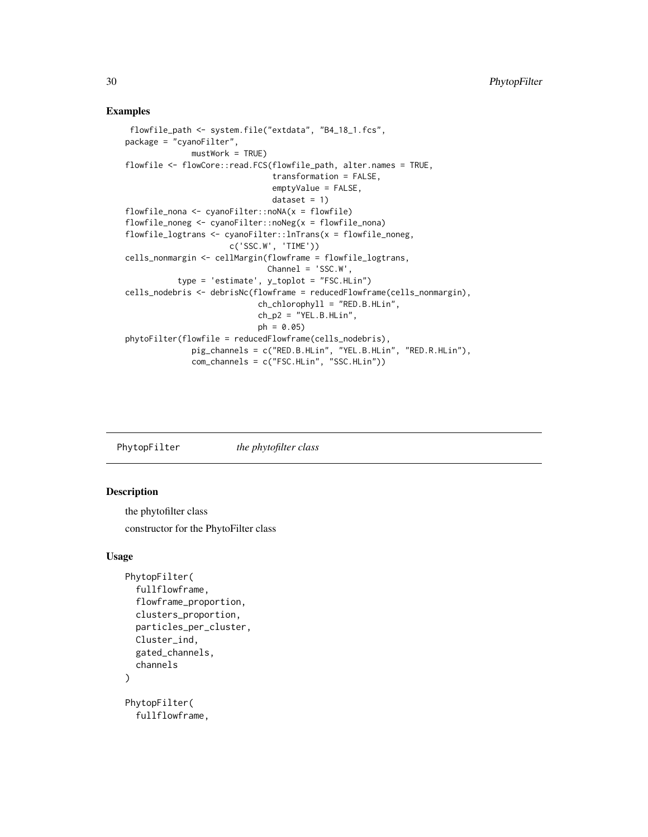# <span id="page-29-0"></span>Examples

```
flowfile_path <- system.file("extdata", "B4_18_1.fcs",
package = "cyanoFilter",
              mustWork = TRUE)
flowfile <- flowCore::read.FCS(flowfile_path, alter.names = TRUE,
                                transformation = FALSE,
                                emptyValue = FALSE,
                                dataset = 1)flowfile_nona <- cyanoFilter::noNA(x = flowfile)
flowfile\_noneg \leftarrow cyanofilter::noNeg(x = flowfile\_nona)flowfile_logtrans <- cyanoFilter::lnTrans(x = flowfile_noneg,
                      c('SSC.W', 'TIME'))
cells_nonmargin <- cellMargin(flowframe = flowfile_logtrans,
                              Channel = 'SSC.W',
           type = 'estimate', y_toplot = "FSC.HLin")
cells_nodebris <- debrisNc(flowframe = reducedFlowframe(cells_nonmargin),
                            ch_{\text{c}}hlorophyll = "RED.B.HLin",
                            ch_p2 = "YEL.B.HLin",ph = 0.05)
phytoFilter(flowfile = reducedFlowframe(cells_nodebris),
              pig_channels = c("RED.B.HLin", "YEL.B.HLin", "RED.R.HLin"),
              com_channels = c("FSC.HLin", "SSC.HLin"))
```
<span id="page-29-1"></span>PhytopFilter *the phytofilter class*

#### Description

the phytofilter class constructor for the PhytoFilter class

# Usage

```
PhytopFilter(
  fullflowframe,
  flowframe_proportion,
  clusters_proportion,
  particles_per_cluster,
  Cluster_ind,
  gated_channels,
  channels
)
PhytopFilter(
  fullflowframe,
```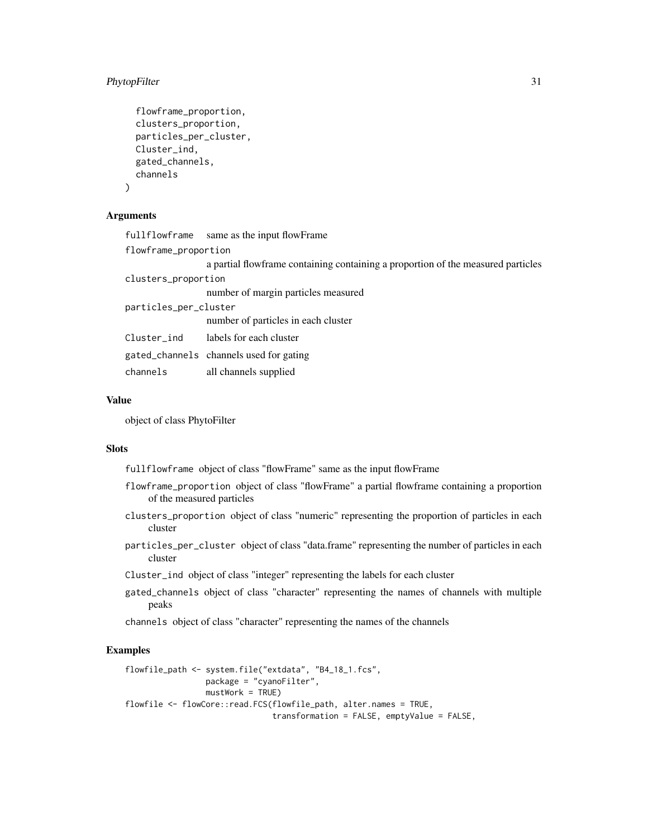# PhytopFilter 31

```
flowframe_proportion,
clusters_proportion,
particles_per_cluster,
Cluster_ind,
gated_channels,
channels
```
# Arguments

)

|                       | fullflowframe same as the input flowFrame                                         |
|-----------------------|-----------------------------------------------------------------------------------|
| flowframe_proportion  |                                                                                   |
|                       | a partial flow frame containing containing a proportion of the measured particles |
| clusters_proportion   |                                                                                   |
|                       | number of margin particles measured                                               |
| particles_per_cluster |                                                                                   |
|                       | number of particles in each cluster                                               |
|                       | Cluster_ind labels for each cluster                                               |
|                       | gated_channels channels used for gating                                           |
| channels              | all channels supplied                                                             |
|                       |                                                                                   |

# Value

object of class PhytoFilter

#### Slots

fullflowframe object of class "flowFrame" same as the input flowFrame

- flowframe\_proportion object of class "flowFrame" a partial flowframe containing a proportion of the measured particles
- clusters\_proportion object of class "numeric" representing the proportion of particles in each cluster
- particles\_per\_cluster object of class "data.frame" representing the number of particles in each cluster
- Cluster\_ind object of class "integer" representing the labels for each cluster
- gated\_channels object of class "character" representing the names of channels with multiple peaks

channels object of class "character" representing the names of the channels

```
flowfile_path <- system.file("extdata", "B4_18_1.fcs",
                 package = "cyanoFilter",
                 mustWork = TRUE)
flowfile <- flowCore::read.FCS(flowfile_path, alter.names = TRUE,
                              transformation = FALSE, emptyValue = FALSE,
```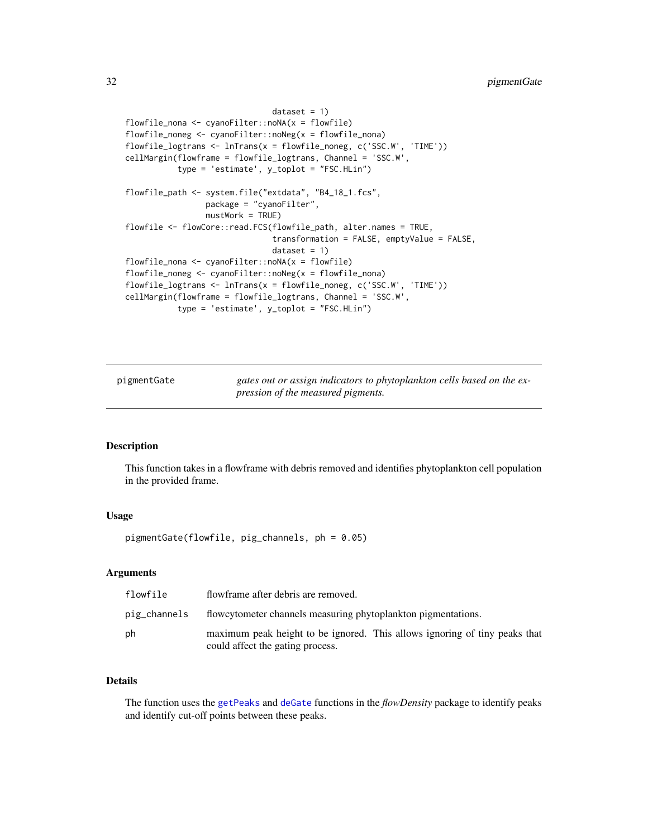```
dataset = 1)flowfile_nona <- cyanoFilter::noNA(x = flowfile)
flowfile_noneg <- cyanoFilter::noNeg(x = flowfile_nona)
flowfile_logtrans <- lnTrans(x = flowfile_noneg, c('SSC.W', 'TIME'))
cellMargin(flowframe = flowfile_logtrans, Channel = 'SSC.W',
           type = 'estimate', y_toplot = "FSC.HLin")
flowfile_path <- system.file("extdata", "B4_18_1.fcs",
                 package = "cyanoFilter",
                 mustWork = TRUE)
flowfile <- flowCore::read.FCS(flowfile_path, alter.names = TRUE,
                               transformation = FALSE, emptyValue = FALSE,
                               dataset = 1)flowfile_nona <- cyanoFilter::noNA(x = flowfile)
flowfile_noneg <- cyanoFilter::noNeg(x = flowfile_nona)
flowfile_logtrans <- lnTrans(x = flowfile_noneg, c('SSC.W', 'TIME'))
cellMargin(flowframe = flowfile_logtrans, Channel = 'SSC.W',
           type = 'estimate', y_toplot = "FSC.HLin")
```
pigmentGate *gates out or assign indicators to phytoplankton cells based on the expression of the measured pigments.*

# Description

This function takes in a flowframe with debris removed and identifies phytoplankton cell population in the provided frame.

# Usage

pigmentGate(flowfile, pig\_channels, ph = 0.05)

#### Arguments

| flowfile     | flowframe after debris are removed.                                                                            |
|--------------|----------------------------------------------------------------------------------------------------------------|
| pig_channels | flowcytometer channels measuring phytoplankton pigmentations.                                                  |
| ph           | maximum peak height to be ignored. This allows ignoring of tiny peaks that<br>could affect the gating process. |

#### Details

The function uses the [getPeaks](#page-0-0) and [deGate](#page-0-0) functions in the *flowDensity* package to identify peaks and identify cut-off points between these peaks.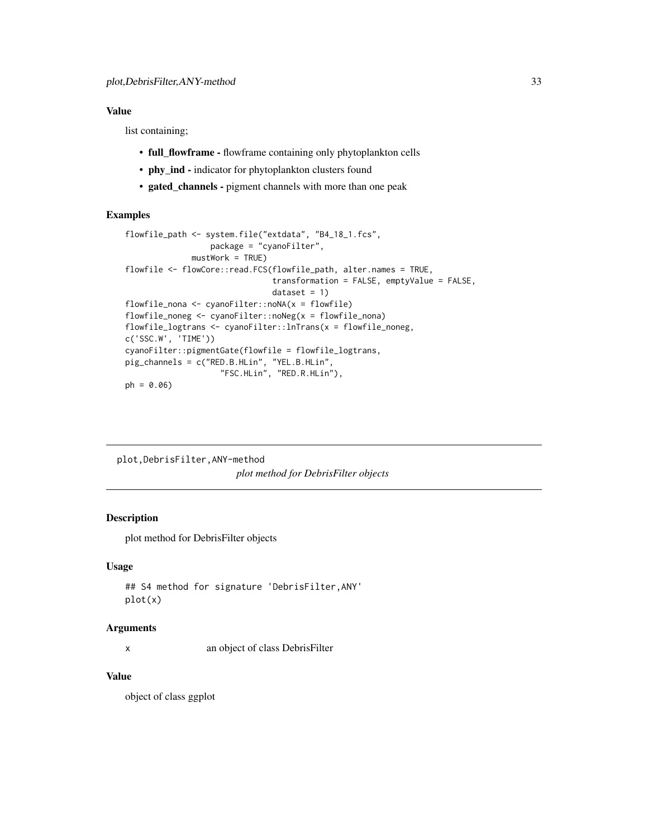# <span id="page-32-0"></span>Value

list containing;

- full\_flowframe flowframe containing only phytoplankton cells
- phy\_ind indicator for phytoplankton clusters found
- gated\_channels pigment channels with more than one peak

# Examples

```
flowfile_path <- system.file("extdata", "B4_18_1.fcs",
                  package = "cyanoFilter",
              mustWork = TRUE)
flowfile <- flowCore::read.FCS(flowfile_path, alter.names = TRUE,
                               transformation = FALSE, emptyValue = FALSE,
                               dataset = 1)flowfile_nona \leq cyanoFilter::noNA(x = flowfile)
flowfile_noneg <- cyanoFilter::noNeg(x = flowfile_nona)
flowfile_logtrans <- cyanoFilter::lnTrans(x = flowfile_noneg,
c('SSC.W', 'TIME'))
cyanoFilter::pigmentGate(flowfile = flowfile_logtrans,
pig_channels = c("RED.B.HLin", "YEL.B.HLin",
                    "FSC.HLin", "RED.R.HLin"),
ph = 0.06
```
plot,DebrisFilter,ANY-method *plot method for DebrisFilter objects*

# Description

plot method for DebrisFilter objects

# Usage

```
## S4 method for signature 'DebrisFilter,ANY'
plot(x)
```
# Arguments

x an object of class DebrisFilter

# Value

object of class ggplot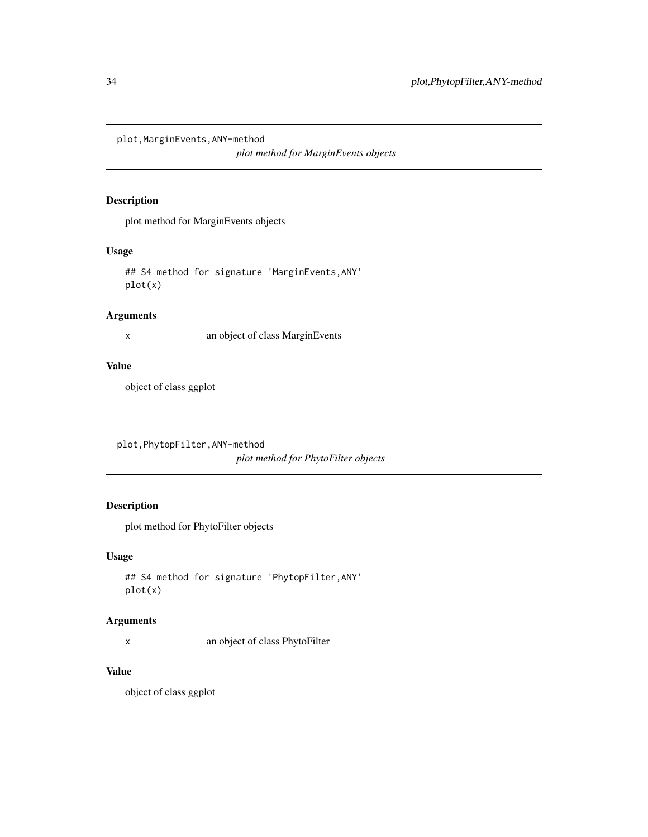<span id="page-33-0"></span>plot,MarginEvents,ANY-method

*plot method for MarginEvents objects*

# Description

plot method for MarginEvents objects

# Usage

## S4 method for signature 'MarginEvents,ANY' plot(x)

# Arguments

x an object of class MarginEvents

# Value

object of class ggplot

plot,PhytopFilter,ANY-method *plot method for PhytoFilter objects*

# Description

plot method for PhytoFilter objects

# Usage

```
## S4 method for signature 'PhytopFilter,ANY'
plot(x)
```
# Arguments

x an object of class PhytoFilter

# Value

object of class ggplot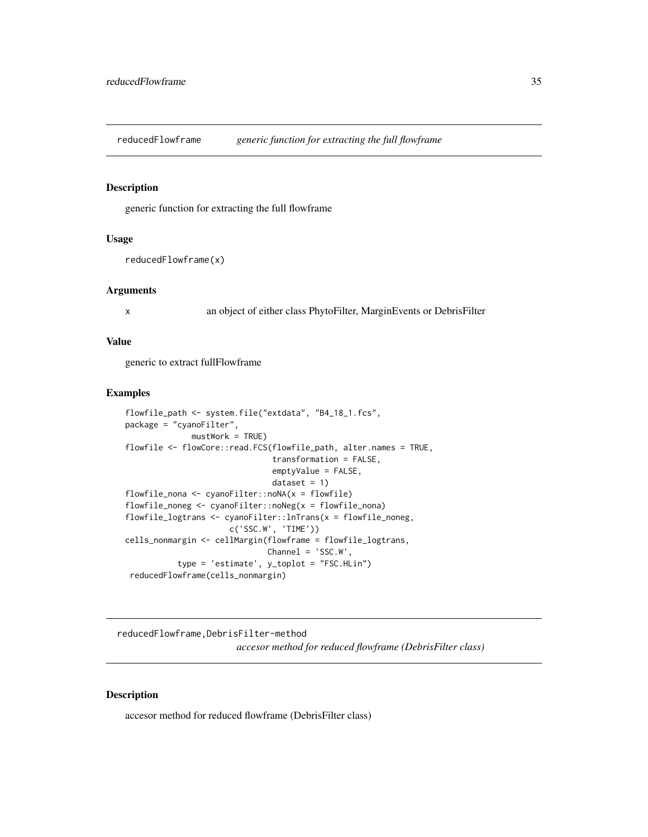<span id="page-34-0"></span>reducedFlowframe *generic function for extracting the full flowframe*

# Description

generic function for extracting the full flowframe

#### Usage

```
reducedFlowframe(x)
```
#### **Arguments**

x an object of either class PhytoFilter, MarginEvents or DebrisFilter

# Value

generic to extract fullFlowframe

#### Examples

```
flowfile_path <- system.file("extdata", "B4_18_1.fcs",
package = "cyanoFilter",
             mustWork = TRUE)
flowfile <- flowCore::read.FCS(flowfile_path, alter.names = TRUE,
                               transformation = FALSE,
                               emptyValue = FALSE,
                               dataset = 1)flowfile_nona <- cyanoFilter::noNA(x = flowfile)
flowfile_noneg <- cyanoFilter::noNeg(x = flowfile_nona)
flowfile_logtrans <- cyanoFilter::lnTrans(x = flowfile_noneg,
                      c('SSC.W', 'TIME'))
cells_nonmargin <- cellMargin(flowframe = flowfile_logtrans,
                              Channel = 'SSC.W',
           type = 'estimate', y_toplot = "FSC.HLin")
 reducedFlowframe(cells_nonmargin)
```
reducedFlowframe,DebrisFilter-method *accesor method for reduced flowframe (DebrisFilter class)*

# Description

accesor method for reduced flowframe (DebrisFilter class)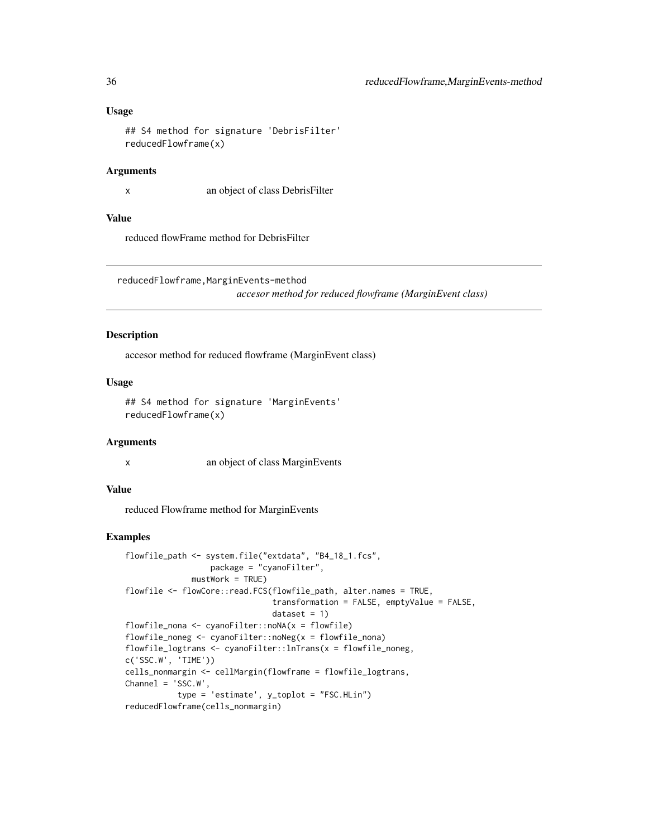# Usage

```
## S4 method for signature 'DebrisFilter'
reducedFlowframe(x)
```
#### Arguments

x an object of class DebrisFilter

# Value

reduced flowFrame method for DebrisFilter

reducedFlowframe,MarginEvents-method

*accesor method for reduced flowframe (MarginEvent class)*

#### Description

accesor method for reduced flowframe (MarginEvent class)

# Usage

```
## S4 method for signature 'MarginEvents'
reducedFlowframe(x)
```
#### Arguments

x an object of class MarginEvents

# Value

reduced Flowframe method for MarginEvents

```
flowfile_path <- system.file("extdata", "B4_18_1.fcs",
                 package = "cyanoFilter",
             mustWork = TRUE)
flowfile <- flowCore::read.FCS(flowfile_path, alter.names = TRUE,
                               transformation = FALSE, emptyValue = FALSE,
                               dataset = 1flowfile_nona <- cyanoFilter::noNA(x = flowfile)
flowfile_noneg <- cyanoFilter::noNeg(x = flowfile_nona)
flowfile_logtrans <- cyanoFilter::lnTrans(x = flowfile_noneg,
c('SSC.W', 'TIME'))
cells_nonmargin <- cellMargin(flowframe = flowfile_logtrans,
Channel = 'SSC.W',
          type = 'estimate', y_toplot = "FSC.HLin")
reducedFlowframe(cells_nonmargin)
```
<span id="page-35-0"></span>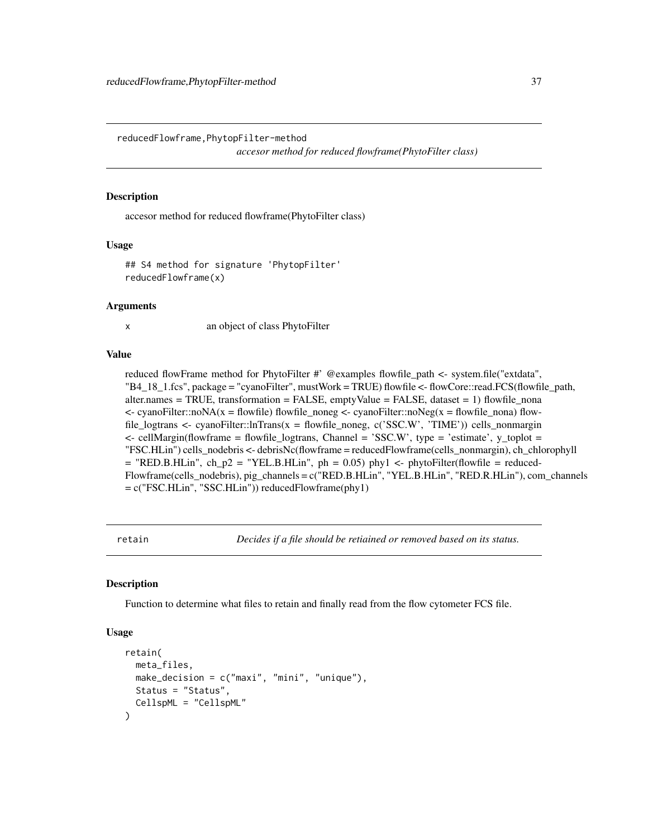<span id="page-36-0"></span>reducedFlowframe,PhytopFilter-method

*accesor method for reduced flowframe(PhytoFilter class)*

#### Description

accesor method for reduced flowframe(PhytoFilter class)

#### Usage

```
## S4 method for signature 'PhytopFilter'
reducedFlowframe(x)
```
#### Arguments

x an object of class PhytoFilter

#### Value

reduced flowFrame method for PhytoFilter #' @examples flowfile\_path <- system.file("extdata", "B4\_18\_1.fcs", package = "cyanoFilter", mustWork = TRUE) flowfile <- flowCore::read.FCS(flowfile\_path,  $\text{after} \text{.} \text{names} = \text{TRUE}, \text{transformation} = \text{FALSE}, \text{emptyValue} = \text{FALSE}, \text{dataset} = 1) \text{ flowfile}$  $\leq$  cyanoFilter::noNA(x = flowfile) flowfile\_noneg  $\leq$  cyanoFilter::noNeg(x = flowfile\_nona) flowfile\_logtrans <- cyanoFilter::lnTrans(x = flowfile\_noneg, c('SSC.W', 'TIME')) cells\_nonmargin  $\leq$ - cellMargin(flowframe = flowfile logtrans, Channel = 'SSC.W', type = 'estimate', y toplot = "FSC.HLin") cells\_nodebris <- debrisNc(flowframe = reducedFlowframe(cells\_nonmargin), ch\_chlorophyll  $=$  "RED.B.HLin", ch\_p2 = "YEL.B.HLin", ph = 0.05) phy1 <- phytoFilter(flowfile = reduced-Flowframe(cells\_nodebris), pig\_channels = c("RED.B.HLin", "YEL.B.HLin", "RED.R.HLin"), com\_channels = c("FSC.HLin", "SSC.HLin")) reducedFlowframe(phy1)

<span id="page-36-1"></span>retain *Decides if a file should be retiained or removed based on its status.*

#### Description

Function to determine what files to retain and finally read from the flow cytometer FCS file.

#### Usage

```
retain(
  meta_files,
 make_decision = c("maxi", "mini", "unique"),
 Status = "Status",
  CellspML = "CellspML"
)
```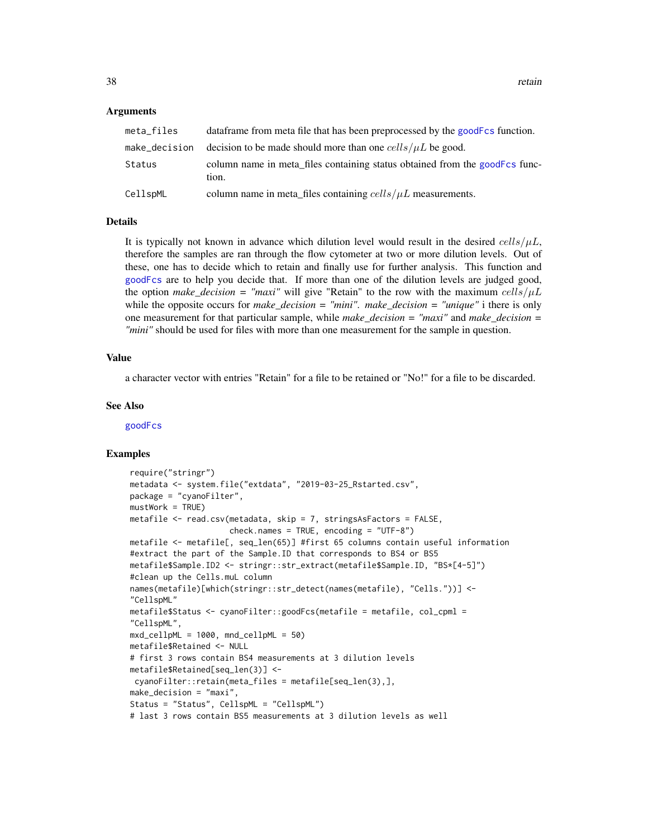#### <span id="page-37-0"></span>Arguments

| meta_files    | dataframe from meta file that has been preprocessed by the goodFcs function.         |
|---------------|--------------------------------------------------------------------------------------|
| make_decision | decision to be made should more than one $cells/µL$ be good.                         |
| Status        | column name in meta files containing status obtained from the goodFcs func-<br>tion. |
| CellspML      | column name in meta_files containing $cells/\mu L$ measurements.                     |

# Details

It is typically not known in advance which dilution level would result in the desired  $\frac{cells}{\mu L}$ , therefore the samples are ran through the flow cytometer at two or more dilution levels. Out of these, one has to decide which to retain and finally use for further analysis. This function and [goodFcs](#page-18-1) are to help you decide that. If more than one of the dilution levels are judged good, the option *make decision = "maxi"* will give "Retain" to the row with the maximum cells/ $\mu$ L while the opposite occurs for *make\_decision = "mini"*. *make\_decision = "unique"* i there is only one measurement for that particular sample, while *make\_decision = "maxi"* and *make\_decision = "mini"* should be used for files with more than one measurement for the sample in question.

#### Value

a character vector with entries "Retain" for a file to be retained or "No!" for a file to be discarded.

#### See Also

[goodFcs](#page-18-1)

```
require("stringr")
metadata <- system.file("extdata", "2019-03-25_Rstarted.csv",
package = "cyanoFilter",
mustWork = TRUE)
metafile <- read.csv(metadata, skip = 7, stringsAsFactors = FALSE,
                     check.names = TRUE, encoding = "UTF-8")
metafile <- metafile[, seq_len(65)] #first 65 columns contain useful information
#extract the part of the Sample.ID that corresponds to BS4 or BS5
metafile$Sample.ID2 <- stringr::str_extract(metafile$Sample.ID, "BS*[4-5]")
#clean up the Cells.muL column
names(metafile)[which(stringr::str_detect(names(metafile), "Cells."))] <-
"CellspML"
metafile$Status <- cyanoFilter::goodFcs(metafile = metafile, col_cpml =
"CellspML",
mxd_cellpML = 1000, mnd_cellpML = 50)
metafile$Retained <- NULL
# first 3 rows contain BS4 measurements at 3 dilution levels
metafile$Retained[seq_len(3)] <-
cyanoFilter::retain(meta_files = metafile[seq_len(3),],
make_decision = "maxi",
Status = "Status", CellspML = "CellspML")
# last 3 rows contain BS5 measurements at 3 dilution levels as well
```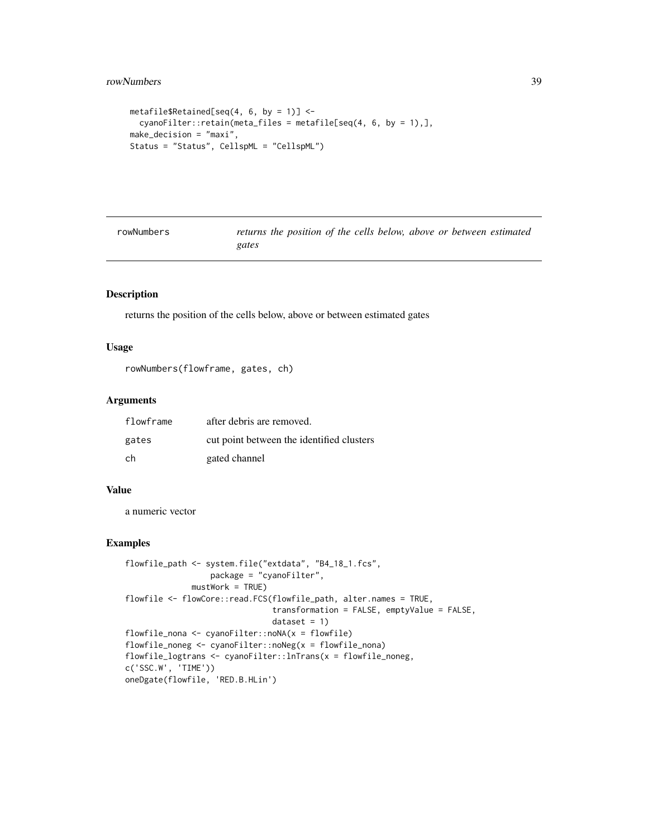```
metafile$Retained[seq(4, 6, by = 1)] <-
  cyanoFilter::retain(meta_files = metafile[seq(4, 6, by = 1),],
make_decision = "maxi",
Status = "Status", CellspML = "CellspML")
```
rowNumbers *returns the position of the cells below, above or between estimated gates*

# Description

returns the position of the cells below, above or between estimated gates

#### Usage

```
rowNumbers(flowframe, gates, ch)
```
# Arguments

| flowframe | after debris are removed.                 |
|-----------|-------------------------------------------|
| gates     | cut point between the identified clusters |
| ch        | gated channel                             |

#### Value

a numeric vector

```
flowfile_path <- system.file("extdata", "B4_18_1.fcs",
                 package = "cyanoFilter",
             mustWork = TRUE)
flowfile <- flowCore::read.FCS(flowfile_path, alter.names = TRUE,
                               transformation = FALSE, emptyValue = FALSE,
                               dataset = 1)flowfile_nona <- cyanoFilter::noNA(x = flowfile)
flowfile_noneg <- cyanoFilter::noNeg(x = flowfile_nona)
flowfile_logtrans <- cyanoFilter::lnTrans(x = flowfile_noneg,
c('SSC.W', 'TIME'))
oneDgate(flowfile, 'RED.B.HLin')
```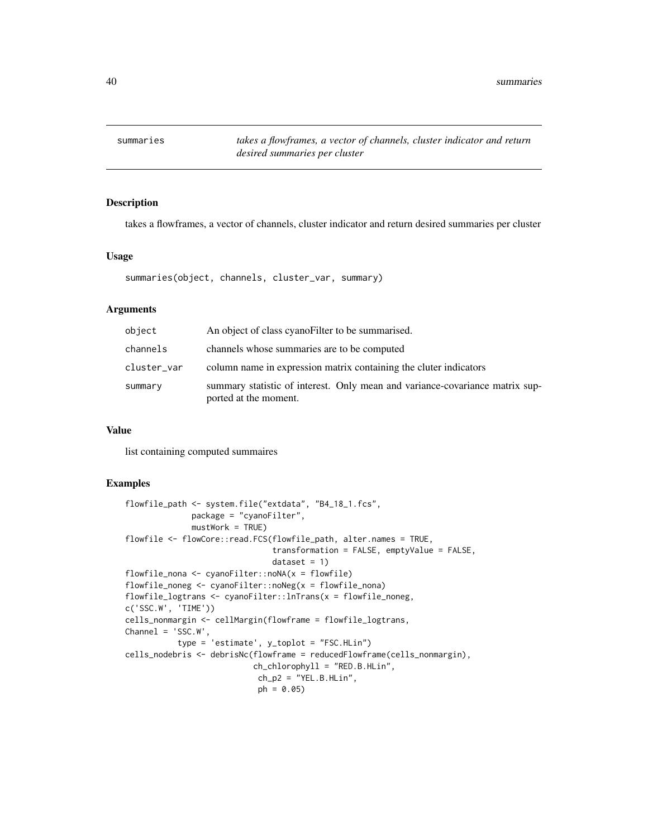<span id="page-39-0"></span>summaries *takes a flowframes, a vector of channels, cluster indicator and return desired summaries per cluster*

# Description

takes a flowframes, a vector of channels, cluster indicator and return desired summaries per cluster

# Usage

summaries(object, channels, cluster\_var, summary)

# Arguments

| object      | An object of class cyano Filter to be summarised.                                                     |
|-------------|-------------------------------------------------------------------------------------------------------|
| channels    | channels whose summaries are to be computed                                                           |
| cluster_var | column name in expression matrix containing the cluter indicators                                     |
| summary     | summary statistic of interest. Only mean and variance-covariance matrix sup-<br>ported at the moment. |

# Value

list containing computed summaires

```
flowfile_path <- system.file("extdata", "B4_18_1.fcs",
             package = "cyanoFilter",
             mustWork = TRUE)
flowfile <- flowCore::read.FCS(flowfile_path, alter.names = TRUE,
                               transformation = FALSE, emptyValue = FALSE,
                               dataset = 1)flowfile_nona <- cyanoFilter::noNA(x = flowfile)
flowfile_noneg <- cyanoFilter::noNeg(x = flowfile_nona)
flowfile_logtrans <- cyanoFilter::lnTrans(x = flowfile_noneg,
c('SSC.W', 'TIME'))
cells_nonmargin <- cellMargin(flowframe = flowfile_logtrans,
Channel = 'SSC.W',
          type = 'estimate', y_toplot = "FSC.HLin")
cells_nodebris <- debrisNc(flowframe = reducedFlowframe(cells_nonmargin),
                           ch_chlorophyll = "RED.B.HLin",
                            ch_p2 = "YEL.B.HLin",ph = 0.05)
```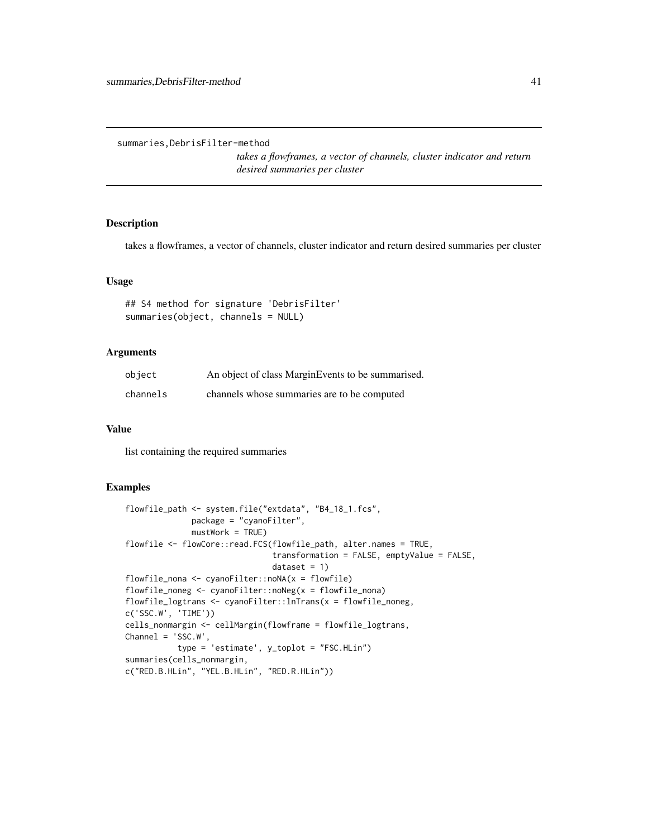<span id="page-40-0"></span>summaries,DebrisFilter-method

*takes a flowframes, a vector of channels, cluster indicator and return desired summaries per cluster*

#### Description

takes a flowframes, a vector of channels, cluster indicator and return desired summaries per cluster

#### Usage

```
## S4 method for signature 'DebrisFilter'
summaries(object, channels = NULL)
```
# Arguments

| object   | An object of class MarginEvents to be summarised. |
|----------|---------------------------------------------------|
| channels | channels whose summaries are to be computed       |

#### Value

list containing the required summaries

```
flowfile_path <- system.file("extdata", "B4_18_1.fcs",
             package = "cyanoFilter",
             mustWork = TRUE)
flowfile <- flowCore::read.FCS(flowfile_path, alter.names = TRUE,
                               transformation = FALSE, emptyValue = FALSE,
                               dataset = 1flowfile_nona <- cyanoFilter::noNA(x = flowfile)
flowfile_noneg <- cyanoFilter::noNeg(x = flowfile_nona)
flowfile_logtrans <- cyanoFilter::lnTrans(x = flowfile_noneg,
c('SSC.W', 'TIME'))
cells_nonmargin <- cellMargin(flowframe = flowfile_logtrans,
Channel = 'SSC.W',
          type = 'estimate', y_toplot = "FSC.HLin")
summaries(cells_nonmargin,
c("RED.B.HLin", "YEL.B.HLin", "RED.R.HLin"))
```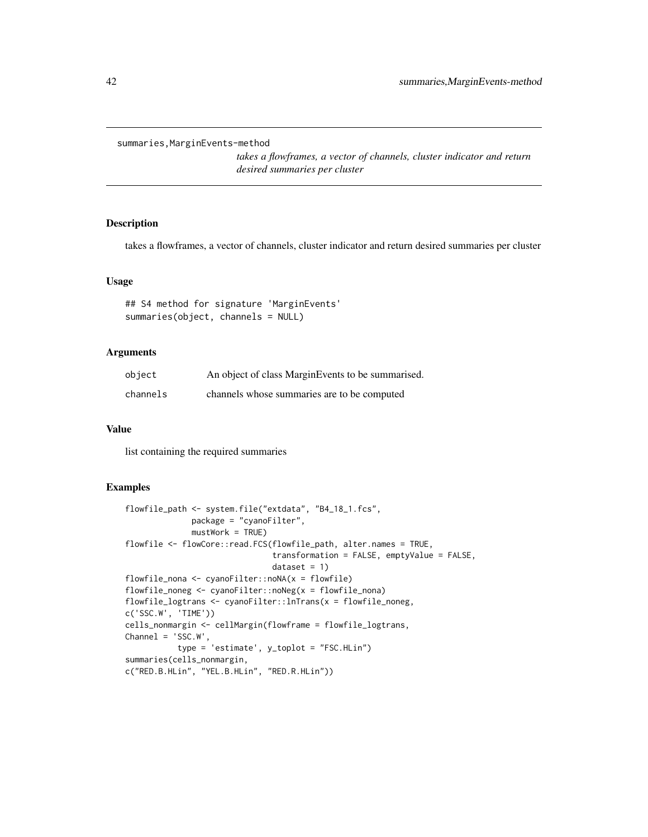<span id="page-41-0"></span>summaries,MarginEvents-method

*takes a flowframes, a vector of channels, cluster indicator and return desired summaries per cluster*

#### Description

takes a flowframes, a vector of channels, cluster indicator and return desired summaries per cluster

#### Usage

```
## S4 method for signature 'MarginEvents'
summaries(object, channels = NULL)
```
# Arguments

| object   | An object of class Margin Events to be summarised. |
|----------|----------------------------------------------------|
| channels | channels whose summaries are to be computed        |

#### Value

list containing the required summaries

```
flowfile_path <- system.file("extdata", "B4_18_1.fcs",
             package = "cyanoFilter",
             mustWork = TRUE)
flowfile <- flowCore::read.FCS(flowfile_path, alter.names = TRUE,
                               transformation = FALSE, emptyValue = FALSE,
                               dataset = 1flowfile_nona <- cyanoFilter::noNA(x = flowfile)
flowfile_noneg <- cyanoFilter::noNeg(x = flowfile_nona)
flowfile_logtrans <- cyanoFilter::lnTrans(x = flowfile_noneg,
c('SSC.W', 'TIME'))
cells_nonmargin <- cellMargin(flowframe = flowfile_logtrans,
Channel = 'SSC.W',
          type = 'estimate', y_toplot = "FSC.HLin")
summaries(cells_nonmargin,
c("RED.B.HLin", "YEL.B.HLin", "RED.R.HLin"))
```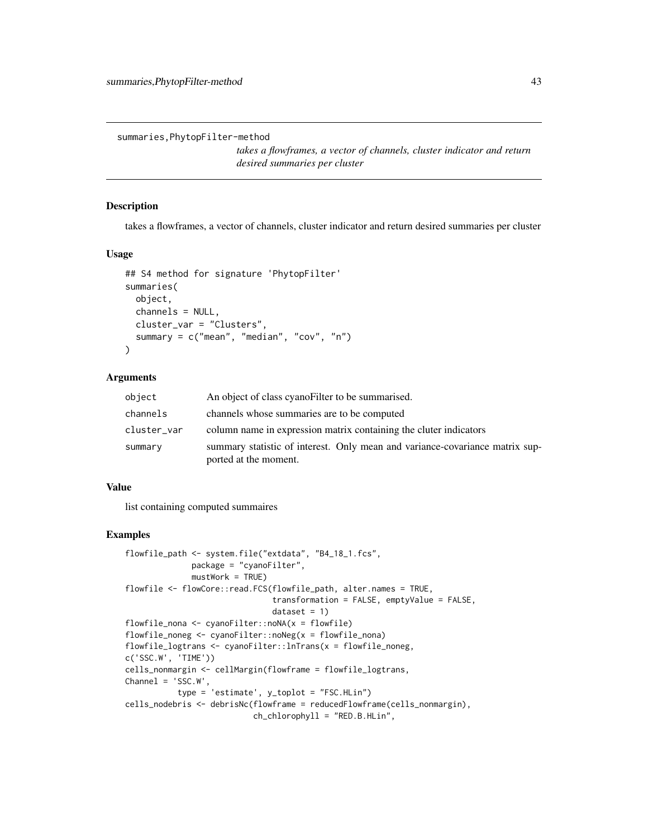<span id="page-42-0"></span>summaries,PhytopFilter-method

*takes a flowframes, a vector of channels, cluster indicator and return desired summaries per cluster*

#### Description

takes a flowframes, a vector of channels, cluster indicator and return desired summaries per cluster

#### Usage

```
## S4 method for signature 'PhytopFilter'
summaries(
 object,
  channels = NULL,
  cluster_var = "Clusters",
  summary = c("mean", "median", "cov", "n")
\lambda
```
# Arguments

| object      | An object of class cyano Filter to be summarised.                                                     |
|-------------|-------------------------------------------------------------------------------------------------------|
| channels    | channels whose summaries are to be computed                                                           |
| cluster_var | column name in expression matrix containing the cluter indicators                                     |
| summary     | summary statistic of interest. Only mean and variance-covariance matrix sup-<br>ported at the moment. |

# Value

list containing computed summaires

```
flowfile_path <- system.file("extdata", "B4_18_1.fcs",
             package = "cyanoFilter",
             mustWork = TRUE)
flowfile <- flowCore::read.FCS(flowfile_path, alter.names = TRUE,
                               transformation = FALSE, emptyValue = FALSE,
                               dataset = 1)flowfile_nona <- cyanoFilter::noNA(x = flowfile)
flowfile_noneg <- cyanoFilter::noNeg(x = flowfile_nona)
flowfile_logtrans <- cyanoFilter::lnTrans(x = flowfile_noneg,
c('SSC.W', 'TIME'))
cells_nonmargin <- cellMargin(flowframe = flowfile_logtrans,
Channel = 'SSC.W',
           type = 'estimate', y_toplot = "FSC.HLin")
cells_nodebris <- debrisNc(flowframe = reducedFlowframe(cells_nonmargin),
                           ch_chlorophyll = "RED.B.HLin",
```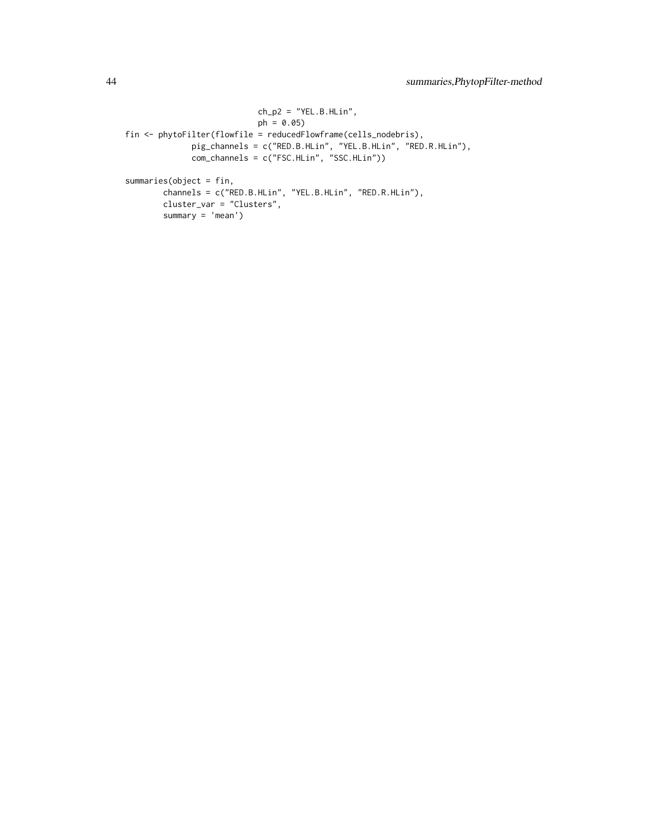```
ch_p2 = "YEL.B.HLin",ph = 0.05fin <- phytoFilter(flowfile = reducedFlowframe(cells_nodebris),
             pig_channels = c("RED.B.HLin", "YEL.B.HLin", "RED.R.HLin"),
             com_channels = c("FSC.HLin", "SSC.HLin"))
summaries(object = fin,
       channels = c("RED.B.HLin", "YEL.B.HLin", "RED.R.HLin"),
       cluster_var = "Clusters",
       summary = 'mean')
```